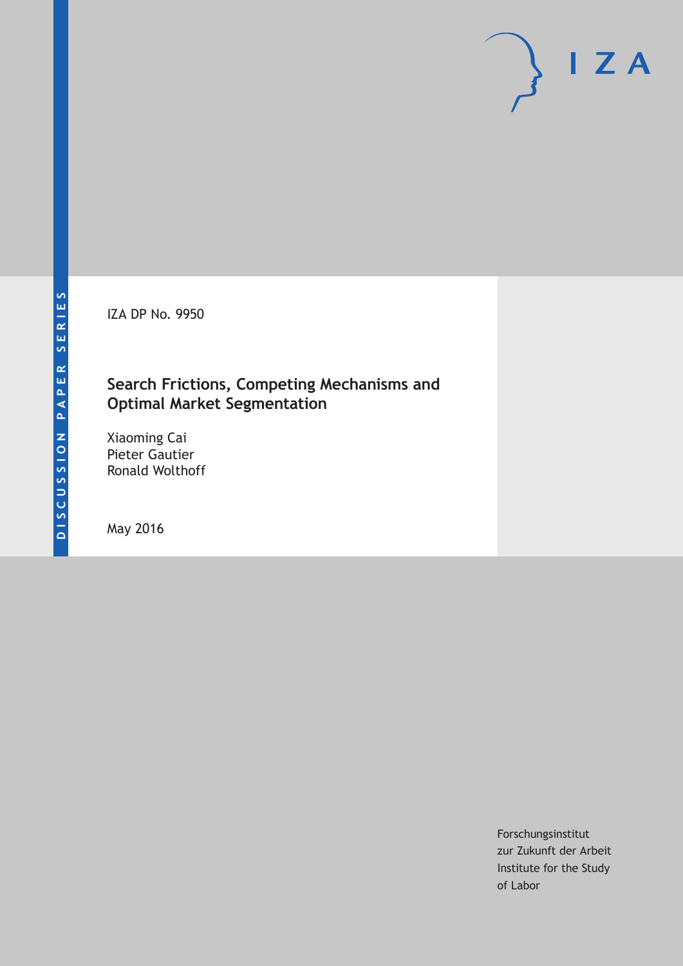IZA DP No. 9950

### **Search Frictions, Competing Mechanisms and Optimal Market Segmentation**

Xiaoming Cai Pieter Gautier Ronald Wolthoff

May 2016

Forschungsinstitut zur Zukunft der Arbeit Institute for the Study of Labor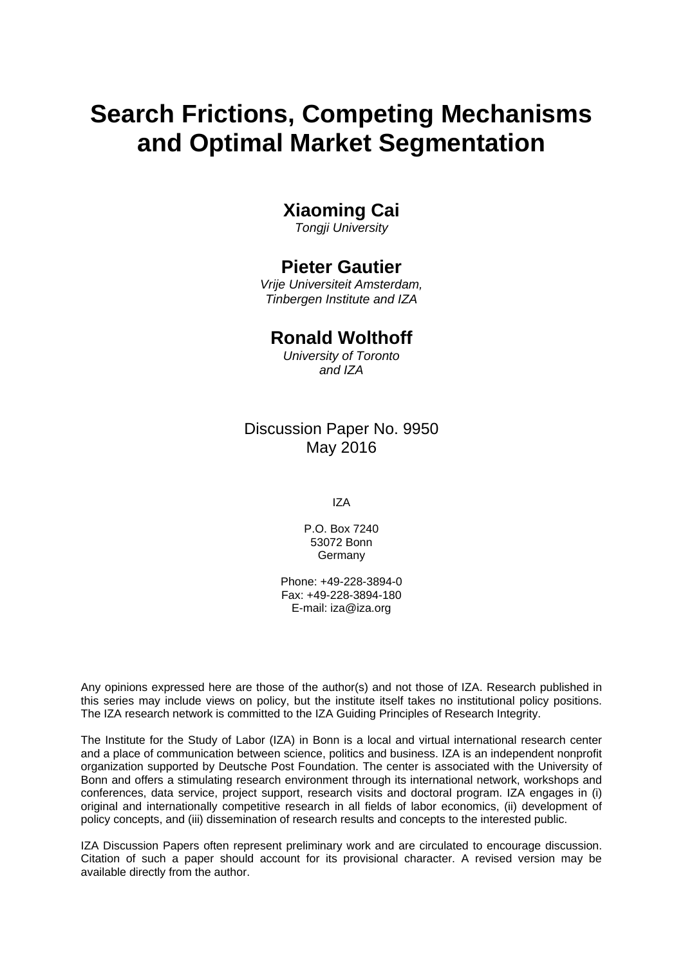# **Search Frictions, Competing Mechanisms and Optimal Market Segmentation**

### **Xiaoming Cai**

*Tongji University* 

### **Pieter Gautier**

*Vrije Universiteit Amsterdam, Tinbergen Institute and IZA* 

### **Ronald Wolthoff**

*University of Toronto and IZA*

### Discussion Paper No. 9950 May 2016

IZA

P.O. Box 7240 53072 Bonn Germany

Phone: +49-228-3894-0 Fax: +49-228-3894-180 E-mail: iza@iza.org

Any opinions expressed here are those of the author(s) and not those of IZA. Research published in this series may include views on policy, but the institute itself takes no institutional policy positions. The IZA research network is committed to the IZA Guiding Principles of Research Integrity.

The Institute for the Study of Labor (IZA) in Bonn is a local and virtual international research center and a place of communication between science, politics and business. IZA is an independent nonprofit organization supported by Deutsche Post Foundation. The center is associated with the University of Bonn and offers a stimulating research environment through its international network, workshops and conferences, data service, project support, research visits and doctoral program. IZA engages in (i) original and internationally competitive research in all fields of labor economics, (ii) development of policy concepts, and (iii) dissemination of research results and concepts to the interested public.

IZA Discussion Papers often represent preliminary work and are circulated to encourage discussion. Citation of such a paper should account for its provisional character. A revised version may be available directly from the author.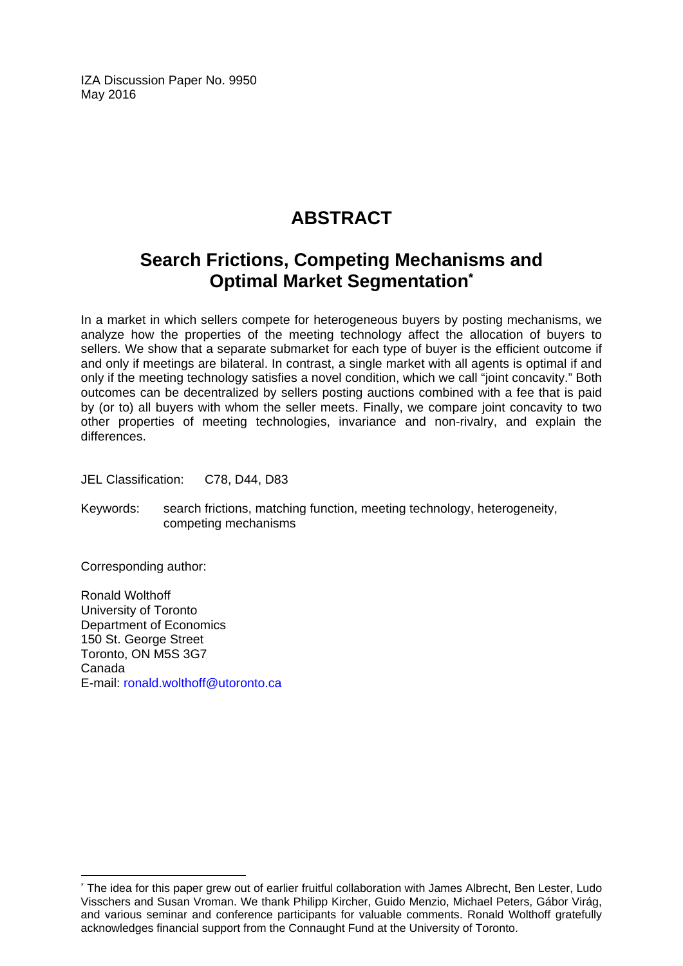IZA Discussion Paper No. 9950 May 2016

## **ABSTRACT**

### **Search Frictions, Competing Mechanisms and Optimal Market Segmentation\***

In a market in which sellers compete for heterogeneous buyers by posting mechanisms, we analyze how the properties of the meeting technology affect the allocation of buyers to sellers. We show that a separate submarket for each type of buyer is the efficient outcome if and only if meetings are bilateral. In contrast, a single market with all agents is optimal if and only if the meeting technology satisfies a novel condition, which we call "joint concavity." Both outcomes can be decentralized by sellers posting auctions combined with a fee that is paid by (or to) all buyers with whom the seller meets. Finally, we compare joint concavity to two other properties of meeting technologies, invariance and non-rivalry, and explain the differences.

JEL Classification: C78, D44, D83

Keywords: search frictions, matching function, meeting technology, heterogeneity, competing mechanisms

Corresponding author:

 $\overline{\phantom{a}}$ 

Ronald Wolthoff University of Toronto Department of Economics 150 St. George Street Toronto, ON M5S 3G7 Canada E-mail: ronald.wolthoff@utoronto.ca

<sup>\*</sup> The idea for this paper grew out of earlier fruitful collaboration with James Albrecht, Ben Lester, Ludo Visschers and Susan Vroman. We thank Philipp Kircher, Guido Menzio, Michael Peters, Gábor Virág, and various seminar and conference participants for valuable comments. Ronald Wolthoff gratefully acknowledges financial support from the Connaught Fund at the University of Toronto.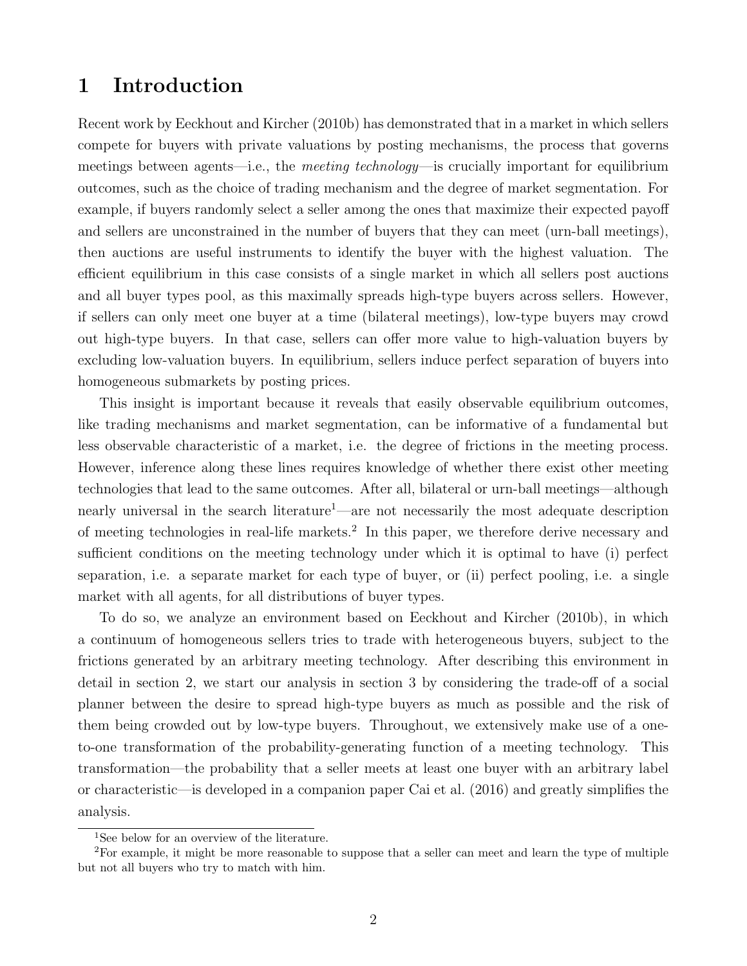### 1 Introduction

Recent work by Eeckhout and Kircher (2010b) has demonstrated that in a market in which sellers compete for buyers with private valuations by posting mechanisms, the process that governs meetings between agents—i.e., the *meeting technology*—is crucially important for equilibrium outcomes, such as the choice of trading mechanism and the degree of market segmentation. For example, if buyers randomly select a seller among the ones that maximize their expected payoff and sellers are unconstrained in the number of buyers that they can meet (urn-ball meetings), then auctions are useful instruments to identify the buyer with the highest valuation. The efficient equilibrium in this case consists of a single market in which all sellers post auctions and all buyer types pool, as this maximally spreads high-type buyers across sellers. However, if sellers can only meet one buyer at a time (bilateral meetings), low-type buyers may crowd out high-type buyers. In that case, sellers can offer more value to high-valuation buyers by excluding low-valuation buyers. In equilibrium, sellers induce perfect separation of buyers into homogeneous submarkets by posting prices.

This insight is important because it reveals that easily observable equilibrium outcomes, like trading mechanisms and market segmentation, can be informative of a fundamental but less observable characteristic of a market, i.e. the degree of frictions in the meeting process. However, inference along these lines requires knowledge of whether there exist other meeting technologies that lead to the same outcomes. After all, bilateral or urn-ball meetings—although nearly universal in the search literature<sup>1</sup>—are not necessarily the most adequate description of meeting technologies in real-life markets.<sup>2</sup> In this paper, we therefore derive necessary and sufficient conditions on the meeting technology under which it is optimal to have (i) perfect separation, i.e. a separate market for each type of buyer, or (ii) perfect pooling, i.e. a single market with all agents, for all distributions of buyer types.

To do so, we analyze an environment based on Eeckhout and Kircher (2010b), in which a continuum of homogeneous sellers tries to trade with heterogeneous buyers, subject to the frictions generated by an arbitrary meeting technology. After describing this environment in detail in section 2, we start our analysis in section  $3$  by considering the trade-off of a social planner between the desire to spread high-type buyers as much as possible and the risk of them being crowded out by low-type buyers. Throughout, we extensively make use of a oneto-one transformation of the probability-generating function of a meeting technology. This transformation—the probability that a seller meets at least one buyer with an arbitrary label or characteristic—is developed in a companion paper Cai et al. (2016) and greatly simplifies the analysis.

<sup>&</sup>lt;sup>1</sup>See below for an overview of the literature.

<sup>2</sup>For example, it might be more reasonable to suppose that a seller can meet and learn the type of multiple but not all buyers who try to match with him.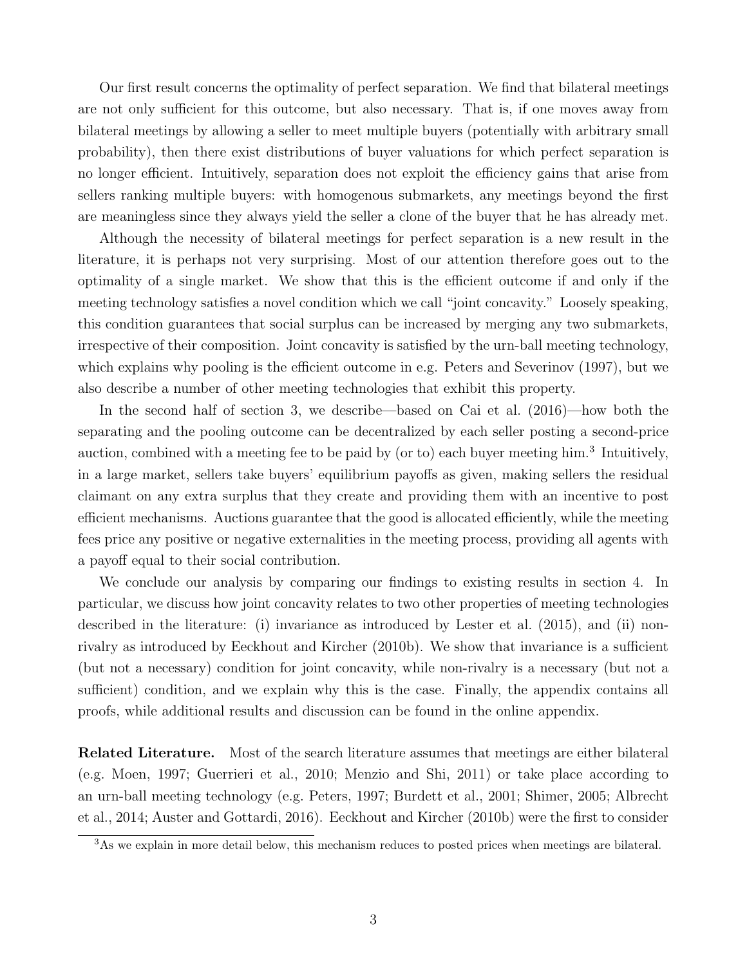Our first result concerns the optimality of perfect separation. We find that bilateral meetings are not only sufficient for this outcome, but also necessary. That is, if one moves away from bilateral meetings by allowing a seller to meet multiple buyers (potentially with arbitrary small probability), then there exist distributions of buyer valuations for which perfect separation is no longer efficient. Intuitively, separation does not exploit the efficiency gains that arise from sellers ranking multiple buyers: with homogenous submarkets, any meetings beyond the first are meaningless since they always yield the seller a clone of the buyer that he has already met.

Although the necessity of bilateral meetings for perfect separation is a new result in the literature, it is perhaps not very surprising. Most of our attention therefore goes out to the optimality of a single market. We show that this is the efficient outcome if and only if the meeting technology satisfies a novel condition which we call "joint concavity." Loosely speaking, this condition guarantees that social surplus can be increased by merging any two submarkets, irrespective of their composition. Joint concavity is satisfied by the urn-ball meeting technology, which explains why pooling is the efficient outcome in e.g. Peters and Severinov  $(1997)$ , but we also describe a number of other meeting technologies that exhibit this property.

In the second half of section 3, we describe—based on Cai et al. (2016)—how both the separating and the pooling outcome can be decentralized by each seller posting a second-price auction, combined with a meeting fee to be paid by (or to) each buyer meeting him.<sup>3</sup> Intuitively, in a large market, sellers take buyers' equilibrium payoffs as given, making sellers the residual claimant on any extra surplus that they create and providing them with an incentive to post efficient mechanisms. Auctions guarantee that the good is allocated efficiently, while the meeting fees price any positive or negative externalities in the meeting process, providing all agents with a payoff equal to their social contribution.

We conclude our analysis by comparing our findings to existing results in section 4. In particular, we discuss how joint concavity relates to two other properties of meeting technologies described in the literature: (i) invariance as introduced by Lester et al. (2015), and (ii) nonrivalry as introduced by Eeckhout and Kircher (2010b). We show that invariance is a sufficient (but not a necessary) condition for joint concavity, while non-rivalry is a necessary (but not a sufficient) condition, and we explain why this is the case. Finally, the appendix contains all proofs, while additional results and discussion can be found in the online appendix.

Related Literature. Most of the search literature assumes that meetings are either bilateral (e.g. Moen, 1997; Guerrieri et al., 2010; Menzio and Shi, 2011) or take place according to an urn-ball meeting technology (e.g. Peters, 1997; Burdett et al., 2001; Shimer, 2005; Albrecht et al., 2014; Auster and Gottardi, 2016). Eeckhout and Kircher (2010b) were the first to consider

<sup>&</sup>lt;sup>3</sup>As we explain in more detail below, this mechanism reduces to posted prices when meetings are bilateral.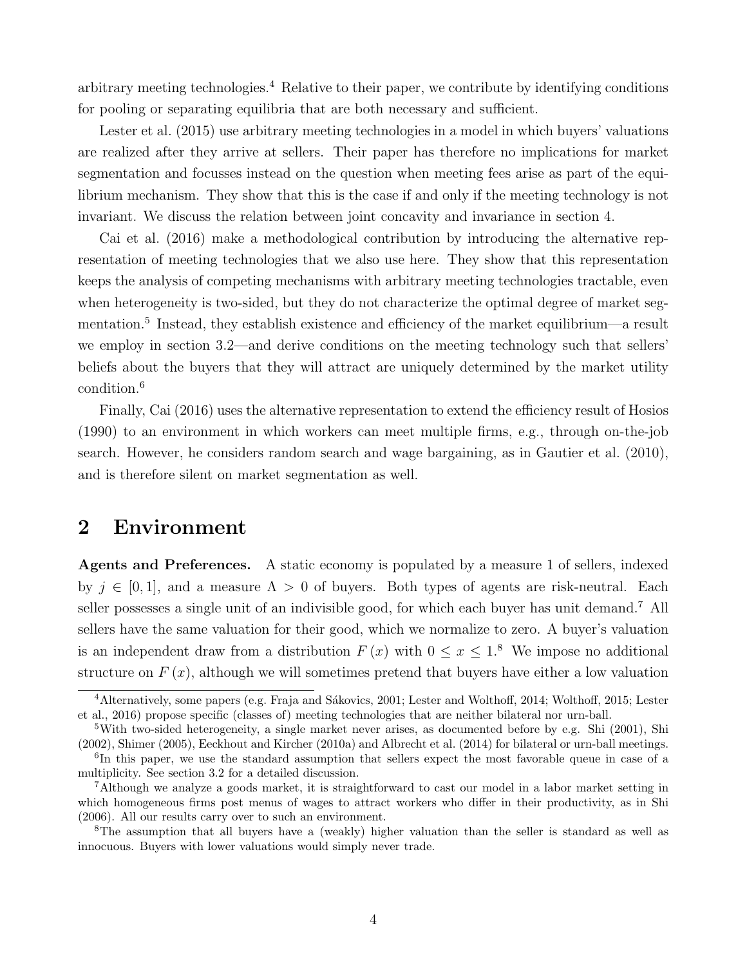arbitrary meeting technologies.<sup>4</sup> Relative to their paper, we contribute by identifying conditions for pooling or separating equilibria that are both necessary and sufficient.

Lester et al. (2015) use arbitrary meeting technologies in a model in which buyers' valuations are realized after they arrive at sellers. Their paper has therefore no implications for market segmentation and focusses instead on the question when meeting fees arise as part of the equilibrium mechanism. They show that this is the case if and only if the meeting technology is not invariant. We discuss the relation between joint concavity and invariance in section 4.

Cai et al. (2016) make a methodological contribution by introducing the alternative representation of meeting technologies that we also use here. They show that this representation keeps the analysis of competing mechanisms with arbitrary meeting technologies tractable, even when heterogeneity is two-sided, but they do not characterize the optimal degree of market segmentation.<sup>5</sup> Instead, they establish existence and efficiency of the market equilibrium—a result we employ in section 3.2—and derive conditions on the meeting technology such that sellers' beliefs about the buyers that they will attract are uniquely determined by the market utility condition.<sup>6</sup>

Finally, Cai (2016) uses the alternative representation to extend the efficiency result of Hosios (1990) to an environment in which workers can meet multiple firms, e.g., through on-the-job search. However, he considers random search and wage bargaining, as in Gautier et al. (2010), and is therefore silent on market segmentation as well.

### 2 Environment

Agents and Preferences. A static economy is populated by a measure 1 of sellers, indexed by  $j \in [0, 1]$ , and a measure  $\Lambda > 0$  of buyers. Both types of agents are risk-neutral. Each seller possesses a single unit of an indivisible good, for which each buyer has unit demand.<sup>7</sup> All sellers have the same valuation for their good, which we normalize to zero. A buyer's valuation is an independent draw from a distribution  $F(x)$  with  $0 \le x \le 1$ .<sup>8</sup> We impose no additional structure on  $F(x)$ , although we will sometimes pretend that buyers have either a low valuation

<sup>&</sup>lt;sup>4</sup>Alternatively, some papers (e.g. Fraja and Sákovics, 2001; Lester and Wolthoff, 2014; Wolthoff, 2015; Lester et al., 2016) propose specific (classes of) meeting technologies that are neither bilateral nor urn-ball.

<sup>5</sup>With two-sided heterogeneity, a single market never arises, as documented before by e.g. Shi (2001), Shi (2002), Shimer (2005), Eeckhout and Kircher (2010a) and Albrecht et al. (2014) for bilateral or urn-ball meetings.

<sup>&</sup>lt;sup>6</sup>In this paper, we use the standard assumption that sellers expect the most favorable queue in case of a multiplicity. See section 3.2 for a detailed discussion.

<sup>7</sup>Although we analyze a goods market, it is straightforward to cast our model in a labor market setting in which homogeneous firms post menus of wages to attract workers who differ in their productivity, as in Shi (2006). All our results carry over to such an environment.

<sup>8</sup>The assumption that all buyers have a (weakly) higher valuation than the seller is standard as well as innocuous. Buyers with lower valuations would simply never trade.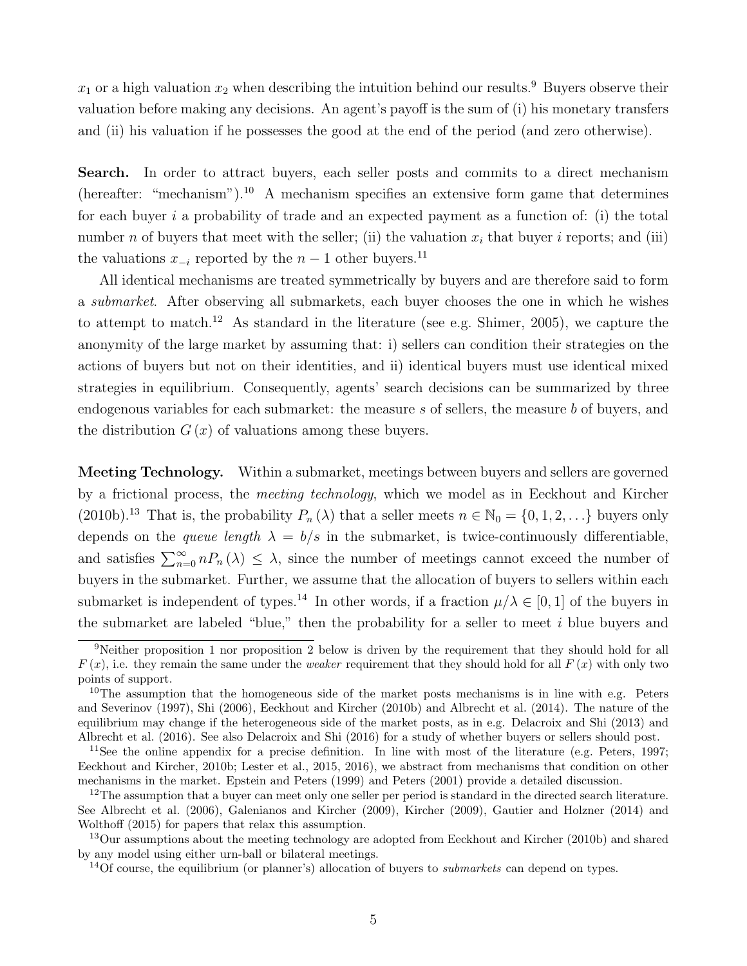$x_1$  or a high valuation  $x_2$  when describing the intuition behind our results.<sup>9</sup> Buyers observe their valuation before making any decisions. An agent's payoff is the sum of  $(i)$  his monetary transfers and (ii) his valuation if he possesses the good at the end of the period (and zero otherwise).

Search. In order to attract buyers, each seller posts and commits to a direct mechanism (hereafter: "mechanism").<sup>10</sup> A mechanism specifies an extensive form game that determines for each buyer *i* a probability of trade and an expected payment as a function of: (i) the total number *n* of buyers that meet with the seller; (ii) the valuation  $x_i$  that buyer *i* reports; and (iii) the valuations  $x_{-i}$  reported by the  $n-1$  other buyers.<sup>11</sup>

All identical mechanisms are treated symmetrically by buyers and are therefore said to form a *submarket*. After observing all submarkets, each buyer chooses the one in which he wishes to attempt to match.<sup>12</sup> As standard in the literature (see e.g. Shimer, 2005), we capture the anonymity of the large market by assuming that: i) sellers can condition their strategies on the actions of buyers but not on their identities, and ii) identical buyers must use identical mixed strategies in equilibrium. Consequently, agents' search decisions can be summarized by three endogenous variables for each submarket: the measure *s* of sellers, the measure *b* of buyers, and the distribution  $G(x)$  of valuations among these buyers.

Meeting Technology. Within a submarket, meetings between buyers and sellers are governed by a frictional process, the *meeting technology*, which we model as in Eeckhout and Kircher (2010b).<sup>13</sup> That is, the probability  $P_n(\lambda)$  that a seller meets  $n \in \mathbb{N}_0 = \{0, 1, 2, ...\}$  buyers only depends on the *queue length*  $\lambda = b/s$  in the submarket, is twice-continuously differentiable, and satisfies  $\sum_{n=0}^{\infty} n P_n(\lambda) \leq \lambda$ , since the number of meetings cannot exceed the number of buyers in the submarket. Further, we assume that the allocation of buyers to sellers within each submarket is independent of types.<sup>14</sup> In other words, if a fraction  $\mu/\lambda \in [0,1]$  of the buyers in the submarket are labeled "blue," then the probability for a seller to meet *i* blue buyers and

<sup>&</sup>lt;sup>9</sup>Neither proposition 1 nor proposition 2 below is driven by the requirement that they should hold for all  $F(x)$ , i.e. they remain the same under the *weaker* requirement that they should hold for all  $F(x)$  with only two points of support.

<sup>&</sup>lt;sup>10</sup>The assumption that the homogeneous side of the market posts mechanisms is in line with e.g. Peters and Severinov (1997), Shi (2006), Eeckhout and Kircher (2010b) and Albrecht et al. (2014). The nature of the equilibrium may change if the heterogeneous side of the market posts, as in e.g. Delacroix and Shi (2013) and Albrecht et al. (2016). See also Delacroix and Shi (2016) for a study of whether buyers or sellers should post.

<sup>&</sup>lt;sup>11</sup>See the online appendix for a precise definition. In line with most of the literature (e.g. Peters, 1997; Eeckhout and Kircher, 2010b; Lester et al., 2015, 2016), we abstract from mechanisms that condition on other mechanisms in the market. Epstein and Peters (1999) and Peters (2001) provide a detailed discussion.

<sup>&</sup>lt;sup>12</sup>The assumption that a buyer can meet only one seller per period is standard in the directed search literature. See Albrecht et al. (2006), Galenianos and Kircher (2009), Kircher (2009), Gautier and Holzner (2014) and Wolthoff (2015) for papers that relax this assumption.

<sup>&</sup>lt;sup>13</sup>Our assumptions about the meeting technology are adopted from Eeckhout and Kircher (2010b) and shared by any model using either urn-ball or bilateral meetings.

<sup>14</sup>Of course, the equilibrium (or planner's) allocation of buyers to *submarkets* can depend on types.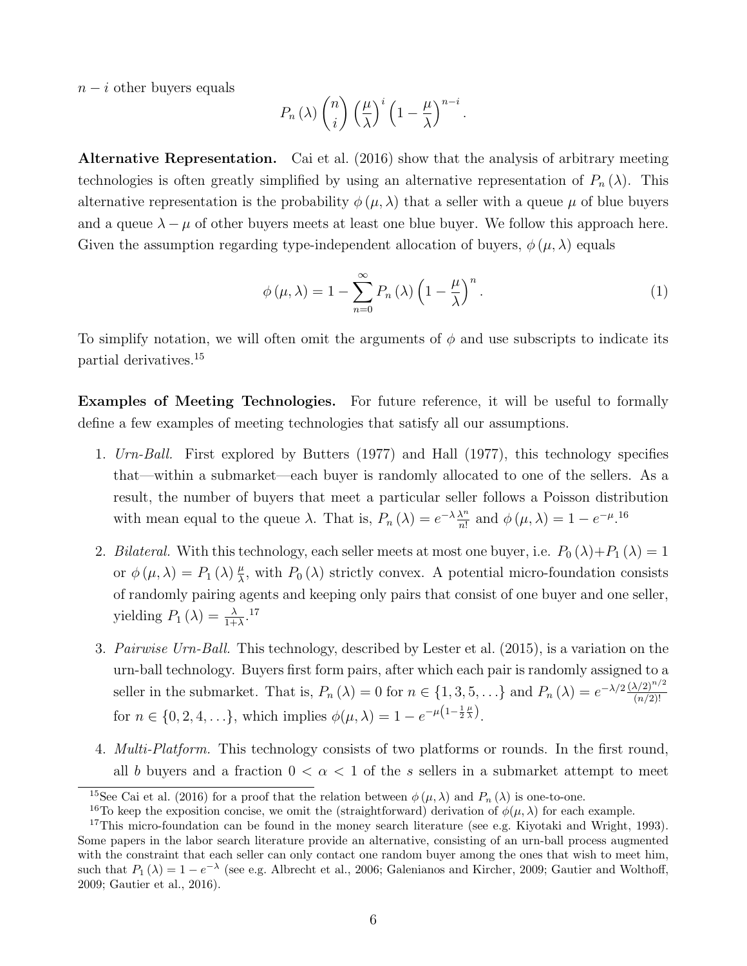$n - i$  other buyers equals

$$
P_n(\lambda) \binom{n}{i} \left(\frac{\mu}{\lambda}\right)^i \left(1 - \frac{\mu}{\lambda}\right)^{n-i}.
$$

Alternative Representation. Cai et al. (2016) show that the analysis of arbitrary meeting technologies is often greatly simplified by using an alternative representation of  $P_n(\lambda)$ . This alternative representation is the probability  $\phi(\mu, \lambda)$  that a seller with a queue  $\mu$  of blue buyers and a queue  $\lambda - \mu$  of other buyers meets at least one blue buyer. We follow this approach here. Given the assumption regarding type-independent allocation of buyers,  $\phi(\mu, \lambda)$  equals

$$
\phi(\mu,\lambda) = 1 - \sum_{n=0}^{\infty} P_n(\lambda) \left(1 - \frac{\mu}{\lambda}\right)^n.
$$
 (1)

To simplify notation, we will often omit the arguments of  $\phi$  and use subscripts to indicate its partial derivatives.<sup>15</sup>

Examples of Meeting Technologies. For future reference, it will be useful to formally define a few examples of meeting technologies that satisfy all our assumptions.

- 1. *Urn-Ball.* First explored by Butters (1977) and Hall (1977), this technology specifies that—within a submarket—each buyer is randomly allocated to one of the sellers. As a result, the number of buyers that meet a particular seller follows a Poisson distribution with mean equal to the queue  $\lambda$ . That is,  $P_n(\lambda) = e^{-\lambda} \frac{\lambda^n}{n!}$  and  $\phi(\mu, \lambda) = 1 - e^{-\mu} \cdot 16$
- 2. *Bilateral.* With this technology, each seller meets at most one buyer, i.e.  $P_0(\lambda) + P_1(\lambda) = 1$ or  $\phi(\mu, \lambda) = P_1(\lambda) \frac{\mu}{\lambda}$ , with  $P_0(\lambda)$  strictly convex. A potential micro-foundation consists of randomly pairing agents and keeping only pairs that consist of one buyer and one seller, yielding  $P_1(\lambda) = \frac{\lambda}{1+\lambda}$ .<sup>17</sup>
- 3. *Pairwise Urn-Ball.* This technology, described by Lester et al. (2015), is a variation on the urn-ball technology. Buyers first form pairs, after which each pair is randomly assigned to a seller in the submarket. That is,  $P_n(\lambda) = 0$  for  $n \in \{1, 3, 5, ...\}$  and  $P_n(\lambda) = e^{-\lambda/2} \frac{(\lambda/2)^{n/2}}{(n/2)!}$ for  $n \in \{0, 2, 4, ...\}$ , which implies  $\phi(\mu, \lambda) = 1 - e^{-\mu(1 - \frac{1}{2}\frac{\mu}{\lambda})}$ .
- 4. *Multi-Platform.* This technology consists of two platforms or rounds. In the first round, all *b* buyers and a fraction  $0 < \alpha < 1$  of the *s* sellers in a submarket attempt to meet

<sup>&</sup>lt;sup>15</sup>See Cai et al. (2016) for a proof that the relation between  $\phi(\mu, \lambda)$  and  $P_n(\lambda)$  is one-to-one.

<sup>&</sup>lt;sup>16</sup>To keep the exposition concise, we omit the (straightforward) derivation of  $\phi(\mu, \lambda)$  for each example.

<sup>&</sup>lt;sup>17</sup>This micro-foundation can be found in the money search literature (see e.g. Kiyotaki and Wright, 1993). Some papers in the labor search literature provide an alternative, consisting of an urn-ball process augmented with the constraint that each seller can only contact one random buyer among the ones that wish to meet him, such that  $P_1(\lambda)=1-e^{-\lambda}$  (see e.g. Albrecht et al., 2006; Galenianos and Kircher, 2009; Gautier and Wolthoff, 2009; Gautier et al., 2016).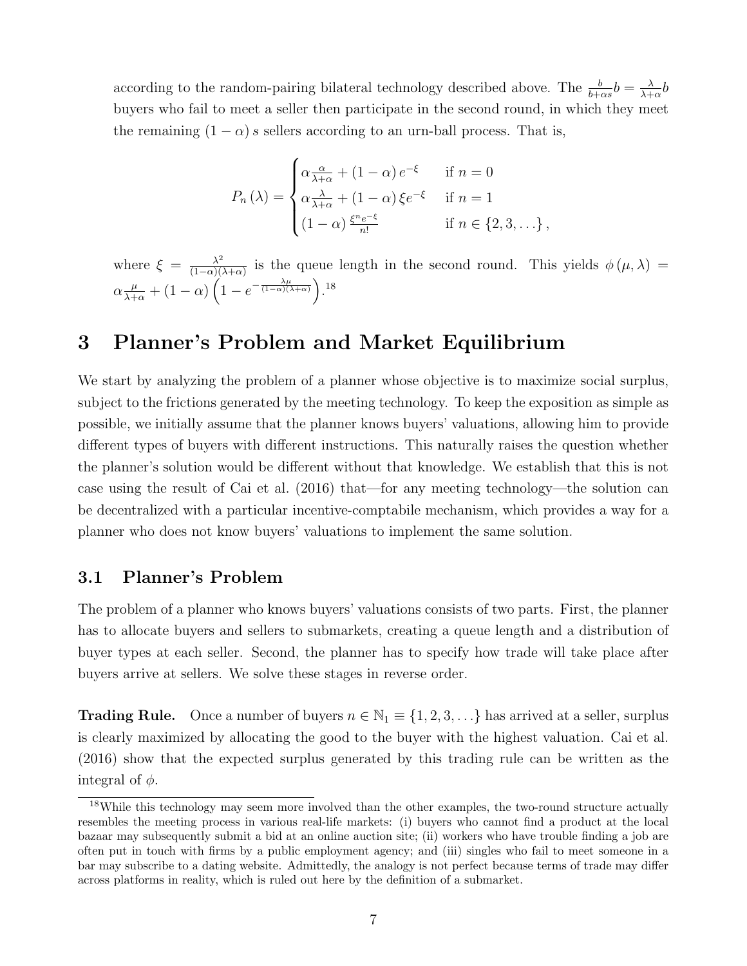according to the random-pairing bilateral technology described above. The  $\frac{b}{b+\alpha s}b = \frac{\lambda}{\lambda+\alpha}b$ buyers who fail to meet a seller then participate in the second round, in which they meet the remaining  $(1 - \alpha)$  *s* sellers according to an urn-ball process. That is,

$$
P_n(\lambda) = \begin{cases} \alpha \frac{\alpha}{\lambda + \alpha} + (1 - \alpha) e^{-\xi} & \text{if } n = 0\\ \alpha \frac{\lambda}{\lambda + \alpha} + (1 - \alpha) \xi e^{-\xi} & \text{if } n = 1\\ (1 - \alpha) \frac{\xi^n e^{-\xi}}{n!} & \text{if } n \in \{2, 3, \ldots\}, \end{cases}
$$

where  $\xi = \frac{\lambda^2}{(1-\alpha)(\lambda+\alpha)}$  is the queue length in the second round. This yields  $\phi(\mu,\lambda)$  $\alpha \frac{\mu}{\lambda + \alpha} + (1 - \alpha) \left( 1 - e^{-\frac{\lambda \mu}{(1 - \alpha)(\lambda + \alpha)}} \right).$ <sup>18</sup>

### 3 Planner's Problem and Market Equilibrium

We start by analyzing the problem of a planner whose objective is to maximize social surplus, subject to the frictions generated by the meeting technology. To keep the exposition as simple as possible, we initially assume that the planner knows buyers' valuations, allowing him to provide different types of buyers with different instructions. This naturally raises the question whether the planner's solution would be different without that knowledge. We establish that this is not case using the result of Cai et al. (2016) that—for any meeting technology—the solution can be decentralized with a particular incentive-comptabile mechanism, which provides a way for a planner who does not know buyers' valuations to implement the same solution.

#### 3.1 Planner's Problem

The problem of a planner who knows buyers' valuations consists of two parts. First, the planner has to allocate buyers and sellers to submarkets, creating a queue length and a distribution of buyer types at each seller. Second, the planner has to specify how trade will take place after buyers arrive at sellers. We solve these stages in reverse order.

**Trading Rule.** Once a number of buyers  $n \in \mathbb{N}_1 \equiv \{1, 2, 3, ...\}$  has arrived at a seller, surplus is clearly maximized by allocating the good to the buyer with the highest valuation. Cai et al. (2016) show that the expected surplus generated by this trading rule can be written as the integral of  $\phi$ .

<sup>18</sup>While this technology may seem more involved than the other examples, the two-round structure actually resembles the meeting process in various real-life markets: (i) buyers who cannot find a product at the local bazaar may subsequently submit a bid at an online auction site; (ii) workers who have trouble finding a job are often put in touch with firms by a public employment agency; and (iii) singles who fail to meet someone in a bar may subscribe to a dating website. Admittedly, the analogy is not perfect because terms of trade may differ across platforms in reality, which is ruled out here by the definition of a submarket.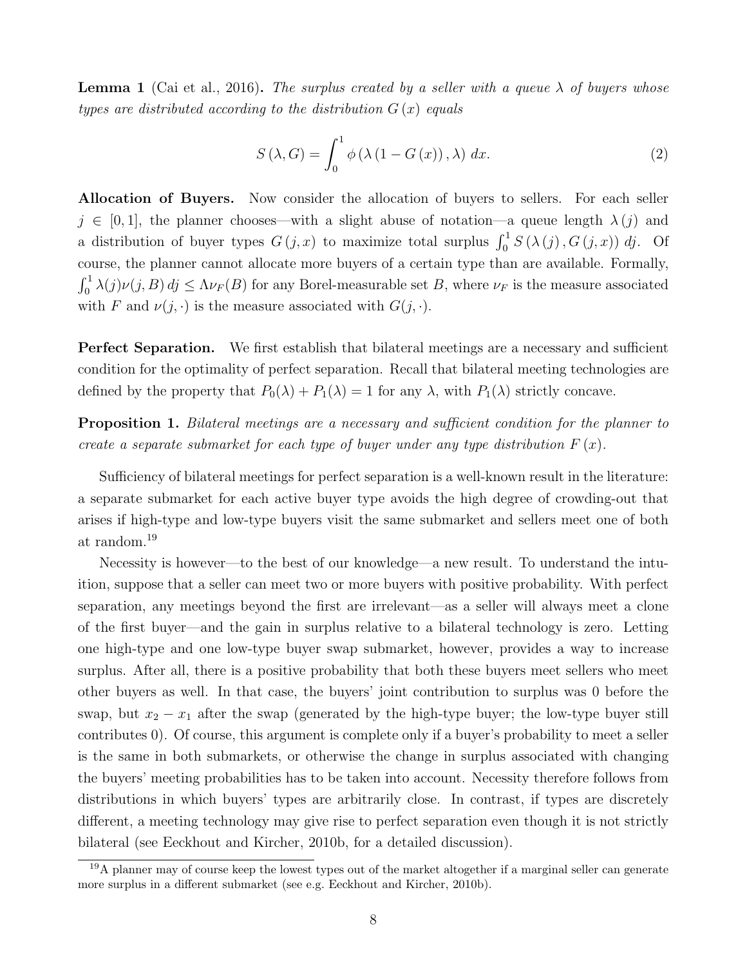**Lemma 1** (Cai et al., 2016). The surplus created by a seller with a queue  $\lambda$  of buyers whose *types are distributed according to the distribution G* (*x*) *equals*

$$
S(\lambda, G) = \int_0^1 \phi(\lambda (1 - G(x)), \lambda) dx.
$$
 (2)

Allocation of Buyers. Now consider the allocation of buyers to sellers. For each seller  $j \in [0, 1]$ , the planner chooses—with a slight abuse of notation—a queue length  $\lambda(j)$  and a distribution of buyer types  $G(j, x)$  to maximize total surplus  $\int_0^1 S(\lambda(j), G(j, x))$  *dj*. Of course, the planner cannot allocate more buyers of a certain type than are available. Formally,  $\int_0^1 \lambda(j)\nu(j, B) \, dj \leq \Lambda \nu_F(B)$  for any Borel-measurable set *B*, where  $\nu_F$  is the measure associated with *F* and  $\nu(j, \cdot)$  is the measure associated with  $G(j, \cdot)$ .

**Perfect Separation.** We first establish that bilateral meetings are a necessary and sufficient condition for the optimality of perfect separation. Recall that bilateral meeting technologies are defined by the property that  $P_0(\lambda) + P_1(\lambda) = 1$  for any  $\lambda$ , with  $P_1(\lambda)$  strictly concave.

Proposition 1. *Bilateral meetings are a necessary and sucient condition for the planner to create a separate submarket for each type of buyer under any type distribution*  $F(x)$ .

Sufficiency of bilateral meetings for perfect separation is a well-known result in the literature: a separate submarket for each active buyer type avoids the high degree of crowding-out that arises if high-type and low-type buyers visit the same submarket and sellers meet one of both at random.<sup>19</sup>

Necessity is however—to the best of our knowledge—a new result. To understand the intuition, suppose that a seller can meet two or more buyers with positive probability. With perfect separation, any meetings beyond the first are irrelevant—as a seller will always meet a clone of the first buyer—and the gain in surplus relative to a bilateral technology is zero. Letting one high-type and one low-type buyer swap submarket, however, provides a way to increase surplus. After all, there is a positive probability that both these buyers meet sellers who meet other buyers as well. In that case, the buyers' joint contribution to surplus was 0 before the swap, but  $x_2 - x_1$  after the swap (generated by the high-type buyer; the low-type buyer still contributes 0). Of course, this argument is complete only if a buyer's probability to meet a seller is the same in both submarkets, or otherwise the change in surplus associated with changing the buyers' meeting probabilities has to be taken into account. Necessity therefore follows from distributions in which buyers' types are arbitrarily close. In contrast, if types are discretely different, a meeting technology may give rise to perfect separation even though it is not strictly bilateral (see Eeckhout and Kircher, 2010b, for a detailed discussion).

<sup>&</sup>lt;sup>19</sup>A planner may of course keep the lowest types out of the market altogether if a marginal seller can generate more surplus in a different submarket (see e.g. Eeckhout and Kircher, 2010b).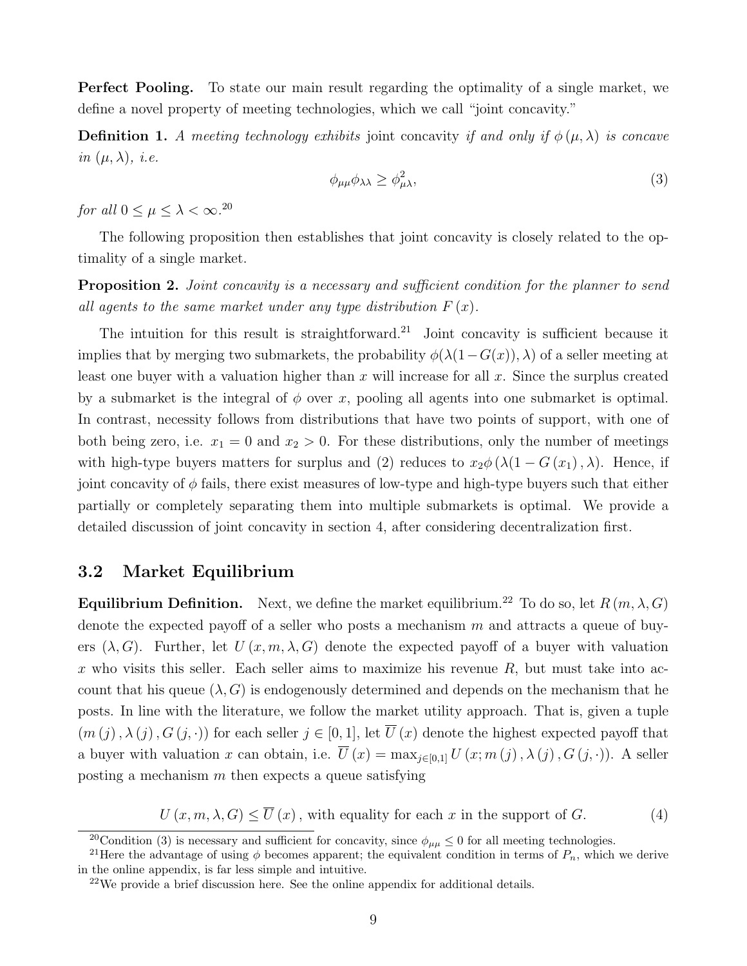Perfect Pooling. To state our main result regarding the optimality of a single market, we define a novel property of meeting technologies, which we call "joint concavity."

**Definition 1.** A meeting technology exhibits joint concavity if and only if  $\phi(\mu, \lambda)$  is concave  $in (\mu, \lambda), i.e.$ 

$$
\phi_{\mu\mu}\phi_{\lambda\lambda} \ge \phi_{\mu\lambda}^2,\tag{3}
$$

*for all*  $0 \leq \mu \leq \lambda < \infty$ .<sup>20</sup>

The following proposition then establishes that joint concavity is closely related to the optimality of a single market.

Proposition 2. *Joint concavity is a necessary and sufficient condition for the planner to send all agents to the same market under any type distribution*  $F(x)$ *.* 

The intuition for this result is straightforward.<sup>21</sup> Joint concavity is sufficient because it implies that by merging two submarkets, the probability  $\phi(\lambda(1-G(x)), \lambda)$  of a seller meeting at least one buyer with a valuation higher than *x* will increase for all *x*. Since the surplus created by a submarket is the integral of  $\phi$  over x, pooling all agents into one submarket is optimal. In contrast, necessity follows from distributions that have two points of support, with one of both being zero, i.e.  $x_1 = 0$  and  $x_2 > 0$ . For these distributions, only the number of meetings with high-type buyers matters for surplus and (2) reduces to  $x_2 \phi (\lambda (1 - G(x_1), \lambda))$ . Hence, if joint concavity of  $\phi$  fails, there exist measures of low-type and high-type buyers such that either partially or completely separating them into multiple submarkets is optimal. We provide a detailed discussion of joint concavity in section 4, after considering decentralization first.

#### 3.2 Market Equilibrium

**Equilibrium Definition.** Next, we define the market equilibrium.<sup>22</sup> To do so, let  $R(m, \lambda, G)$ denote the expected payoff of a seller who posts a mechanism m and attracts a queue of buyers  $(\lambda, G)$ . Further, let  $U(x, m, \lambda, G)$  denote the expected payoff of a buyer with valuation *x* who visits this seller. Each seller aims to maximize his revenue *R*, but must take into account that his queue  $(\lambda, G)$  is endogenously determined and depends on the mechanism that he posts. In line with the literature, we follow the market utility approach. That is, given a tuple  $(m(j), \lambda(j), G(j, \cdot))$  for each seller  $j \in [0, 1]$ , let  $\overline{U}(x)$  denote the highest expected payoff that a buyer with valuation *x* can obtain, i.e.  $\overline{U}(x) = \max_{j \in [0,1]} U(x; m(j), \lambda(j), G(j, \cdot))$ . A seller posting a mechanism *m* then expects a queue satisfying

 $U(x, m, \lambda, G) \le \overline{U}(x)$ , with equality for each *x* in the support of *G*. (4)

<sup>&</sup>lt;sup>20</sup>Condition (3) is necessary and sufficient for concavity, since  $\phi_{\mu\mu} \leq 0$  for all meeting technologies.

<sup>&</sup>lt;sup>21</sup>Here the advantage of using  $\phi$  becomes apparent; the equivalent condition in terms of  $P_n$ , which we derive in the online appendix, is far less simple and intuitive.

 $22$ We provide a brief discussion here. See the online appendix for additional details.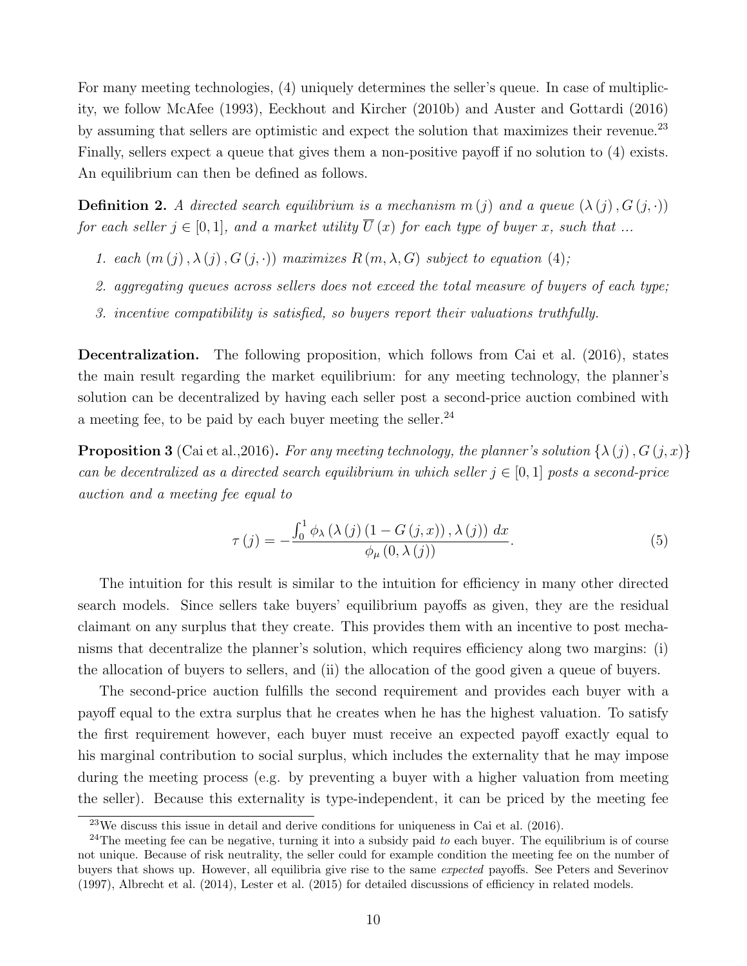For many meeting technologies, (4) uniquely determines the seller's queue. In case of multiplicity, we follow McAfee (1993), Eeckhout and Kircher (2010b) and Auster and Gottardi (2016) by assuming that sellers are optimistic and expect the solution that maximizes their revenue.<sup>23</sup> Finally, sellers expect a queue that gives them a non-positive payoff if no solution to  $(4)$  exists. An equilibrium can then be defined as follows.

**Definition 2.** A directed search equilibrium is a mechanism  $m(j)$  and a queue  $(\lambda(j), G(j, \cdot))$ *for each seller*  $j \in [0, 1]$ *, and a market utility*  $\overline{U}(x)$  *for each type of buyer x, such that ...* 

- *1. each*  $(m(j), \lambda(j), G(j, \cdot))$  *maximizes*  $R(m, \lambda, G)$  *subject to equation* (4);
- *2. aggregating queues across sellers does not exceed the total measure of buyers of each type;*
- *3. incentive compatibility is satisfied, so buyers report their valuations truthfully.*

Decentralization. The following proposition, which follows from Cai et al. (2016), states the main result regarding the market equilibrium: for any meeting technology, the planner's solution can be decentralized by having each seller post a second-price auction combined with a meeting fee, to be paid by each buyer meeting the seller. $^{24}$ 

**Proposition 3** (Cai et al., 2016). For any meeting technology, the planner's solution  $\{\lambda(i), G(i, x)\}$ *can be decentralized as a directed search equilibrium in which seller*  $j \in [0,1]$  *posts a second-price auction and a meeting fee equal to*

$$
\tau(j) = -\frac{\int_0^1 \phi_\lambda(\lambda(j) (1 - G(j, x)), \lambda(j)) dx}{\phi_\mu(0, \lambda(j))}.
$$
\n(5)

The intuition for this result is similar to the intuition for efficiency in many other directed search models. Since sellers take buyers' equilibrium payoffs as given, they are the residual claimant on any surplus that they create. This provides them with an incentive to post mechanisms that decentralize the planner's solution, which requires efficiency along two margins: (i) the allocation of buyers to sellers, and (ii) the allocation of the good given a queue of buyers.

The second-price auction fulfills the second requirement and provides each buyer with a payoff equal to the extra surplus that he creates when he has the highest valuation. To satisfy the first requirement however, each buyer must receive an expected payoff exactly equal to his marginal contribution to social surplus, which includes the externality that he may impose during the meeting process (e.g. by preventing a buyer with a higher valuation from meeting the seller). Because this externality is type-independent, it can be priced by the meeting fee

<sup>23</sup>We discuss this issue in detail and derive conditions for uniqueness in Cai et al. (2016).

<sup>24</sup>The meeting fee can be negative, turning it into a subsidy paid *to* each buyer. The equilibrium is of course not unique. Because of risk neutrality, the seller could for example condition the meeting fee on the number of buyers that shows up. However, all equilibria give rise to the same *expected* payoffs. See Peters and Severinov (1997), Albrecht et al. (2014), Lester et al. (2015) for detailed discussions of efficiency in related models.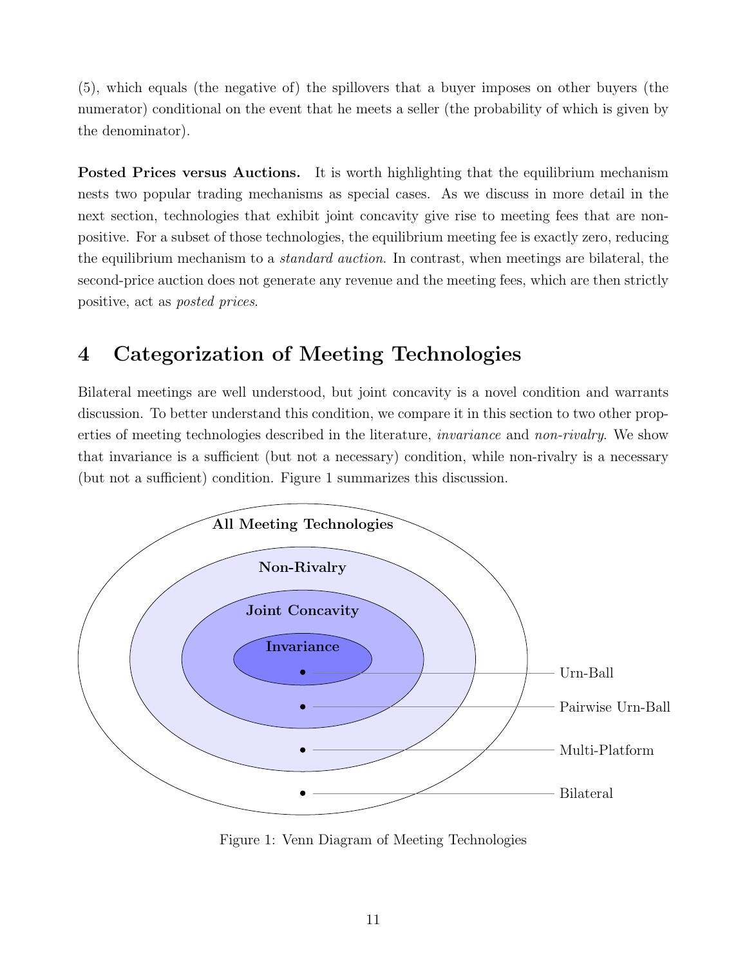(5), which equals (the negative of) the spillovers that a buyer imposes on other buyers (the numerator) conditional on the event that he meets a seller (the probability of which is given by the denominator).

Posted Prices versus Auctions. It is worth highlighting that the equilibrium mechanism nests two popular trading mechanisms as special cases. As we discuss in more detail in the next section, technologies that exhibit joint concavity give rise to meeting fees that are nonpositive. For a subset of those technologies, the equilibrium meeting fee is exactly zero, reducing the equilibrium mechanism to a *standard auction*. In contrast, when meetings are bilateral, the second-price auction does not generate any revenue and the meeting fees, which are then strictly positive, act as *posted prices*.

## 4 Categorization of Meeting Technologies

Bilateral meetings are well understood, but joint concavity is a novel condition and warrants discussion. To better understand this condition, we compare it in this section to two other properties of meeting technologies described in the literature, *invariance* and *non-rivalry*. We show that invariance is a sufficient (but not a necessary) condition, while non-rivalry is a necessary (but not a sufficient) condition. Figure 1 summarizes this discussion.



Figure 1: Venn Diagram of Meeting Technologies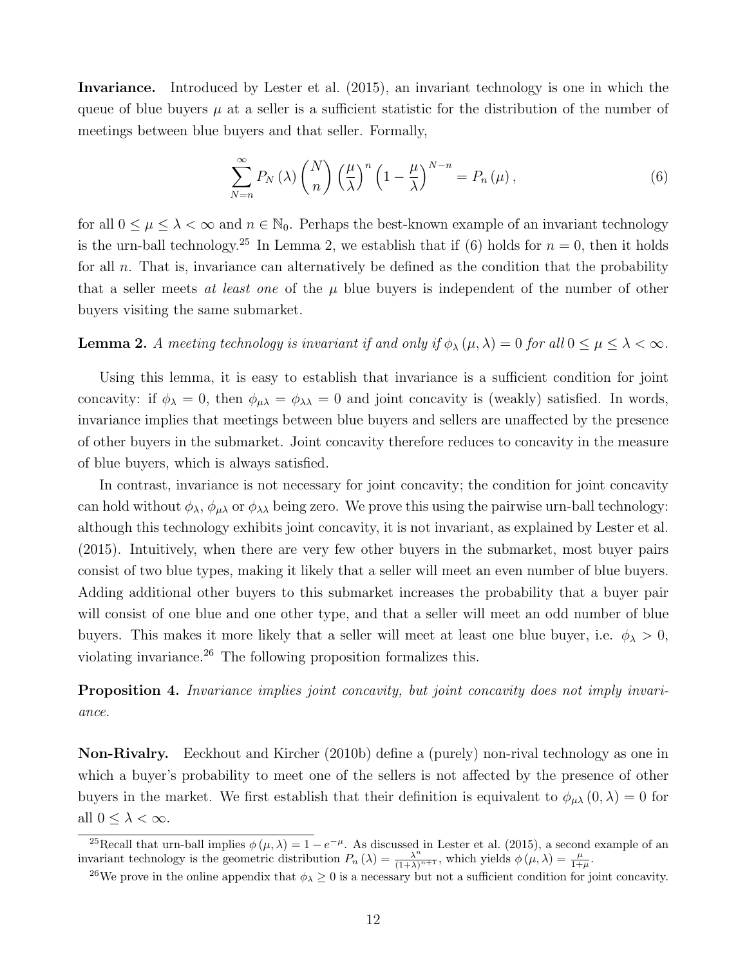Invariance. Introduced by Lester et al. (2015), an invariant technology is one in which the queue of blue buyers  $\mu$  at a seller is a sufficient statistic for the distribution of the number of meetings between blue buyers and that seller. Formally,

$$
\sum_{N=n}^{\infty} P_N(\lambda) \binom{N}{n} \left(\frac{\mu}{\lambda}\right)^n \left(1 - \frac{\mu}{\lambda}\right)^{N-n} = P_n(\mu),\tag{6}
$$

for all  $0 \leq \mu \leq \lambda < \infty$  and  $n \in \mathbb{N}_0$ . Perhaps the best-known example of an invariant technology is the urn-ball technology.<sup>25</sup> In Lemma 2, we establish that if (6) holds for  $n = 0$ , then it holds for all *n*. That is, invariance can alternatively be defined as the condition that the probability that a seller meets *at least one* of the  $\mu$  blue buyers is independent of the number of other buyers visiting the same submarket.

**Lemma 2.** *A meeting technology is invariant if and only if*  $\phi_{\lambda}(\mu, \lambda) = 0$  *for all*  $0 \le \mu \le \lambda < \infty$ *.* 

Using this lemma, it is easy to establish that invariance is a sufficient condition for joint concavity: if  $\phi_{\lambda} = 0$ , then  $\phi_{\mu\lambda} = \phi_{\lambda\lambda} = 0$  and joint concavity is (weakly) satisfied. In words, invariance implies that meetings between blue buyers and sellers are unaffected by the presence of other buyers in the submarket. Joint concavity therefore reduces to concavity in the measure of blue buyers, which is always satisfied.

In contrast, invariance is not necessary for joint concavity; the condition for joint concavity can hold without  $\phi_{\lambda}$ ,  $\phi_{\mu\lambda}$  or  $\phi_{\lambda\lambda}$  being zero. We prove this using the pairwise urn-ball technology: although this technology exhibits joint concavity, it is not invariant, as explained by Lester et al. (2015). Intuitively, when there are very few other buyers in the submarket, most buyer pairs consist of two blue types, making it likely that a seller will meet an even number of blue buyers. Adding additional other buyers to this submarket increases the probability that a buyer pair will consist of one blue and one other type, and that a seller will meet an odd number of blue buyers. This makes it more likely that a seller will meet at least one blue buyer, i.e.  $\phi_{\lambda} > 0$ , violating invariance.<sup>26</sup> The following proposition formalizes this.

Proposition 4. *Invariance implies joint concavity, but joint concavity does not imply invariance.*

Non-Rivalry. Eeckhout and Kircher (2010b) define a (purely) non-rival technology as one in which a buyer's probability to meet one of the sellers is not affected by the presence of other buyers in the market. We first establish that their definition is equivalent to  $\phi_{\mu\lambda}(0,\lambda) = 0$  for all  $0 \leq \lambda < \infty$ .

<sup>&</sup>lt;sup>25</sup>Recall that urn-ball implies  $\phi(\mu, \lambda) = 1 - e^{-\mu}$ . As discussed in Lester et al. (2015), a second example of an invariant technology is the geometric distribution  $P_n(\lambda) = \frac{\lambda^n}{(1+\lambda)^{n+1}}$ , which yields  $\phi(\mu, \lambda) = \frac{\mu}{1+\mu}$ .

<sup>&</sup>lt;sup>26</sup>We prove in the online appendix that  $\phi_{\lambda} \geq 0$  is a necessary but not a sufficient condition for joint concavity.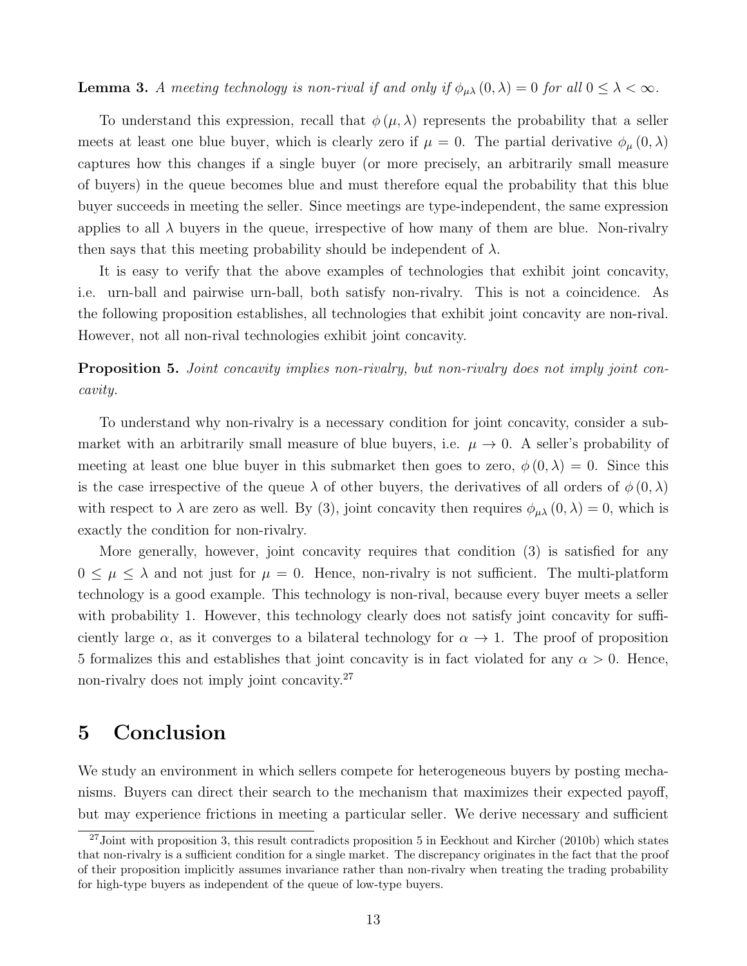**Lemma 3.** *A meeting technology is non-rival if and only if*  $\phi_{\mu\lambda}(0,\lambda) = 0$  *for all*  $0 \leq \lambda < \infty$ .

To understand this expression, recall that  $\phi(\mu, \lambda)$  represents the probability that a seller meets at least one blue buyer, which is clearly zero if  $\mu = 0$ . The partial derivative  $\phi_{\mu}(0, \lambda)$ captures how this changes if a single buyer (or more precisely, an arbitrarily small measure of buyers) in the queue becomes blue and must therefore equal the probability that this blue buyer succeeds in meeting the seller. Since meetings are type-independent, the same expression applies to all  $\lambda$  buyers in the queue, irrespective of how many of them are blue. Non-rivalry then says that this meeting probability should be independent of  $\lambda$ .

It is easy to verify that the above examples of technologies that exhibit joint concavity, i.e. urn-ball and pairwise urn-ball, both satisfy non-rivalry. This is not a coincidence. As the following proposition establishes, all technologies that exhibit joint concavity are non-rival. However, not all non-rival technologies exhibit joint concavity.

Proposition 5. *Joint concavity implies non-rivalry, but non-rivalry does not imply joint concavity.*

To understand why non-rivalry is a necessary condition for joint concavity, consider a submarket with an arbitrarily small measure of blue buyers, i.e.  $\mu \to 0$ . A seller's probability of meeting at least one blue buyer in this submarket then goes to zero,  $\phi(0,\lambda) = 0$ . Since this is the case irrespective of the queue  $\lambda$  of other buyers, the derivatives of all orders of  $\phi(0,\lambda)$ with respect to  $\lambda$  are zero as well. By (3), joint concavity then requires  $\phi_{\mu\lambda}(0,\lambda) = 0$ , which is exactly the condition for non-rivalry.

More generally, however, joint concavity requires that condition (3) is satisfied for any  $0 \leq \mu \leq \lambda$  and not just for  $\mu = 0$ . Hence, non-rivalry is not sufficient. The multi-platform technology is a good example. This technology is non-rival, because every buyer meets a seller with probability 1. However, this technology clearly does not satisfy joint concavity for sufficiently large  $\alpha$ , as it converges to a bilateral technology for  $\alpha \to 1$ . The proof of proposition 5 formalizes this and establishes that joint concavity is in fact violated for any  $\alpha > 0$ . Hence, non-rivalry does not imply joint concavity.<sup>27</sup>

### 5 Conclusion

We study an environment in which sellers compete for heterogeneous buyers by posting mechanisms. Buyers can direct their search to the mechanism that maximizes their expected payoff, but may experience frictions in meeting a particular seller. We derive necessary and sufficient

 $^{27}$ Joint with proposition 3, this result contradicts proposition 5 in Eeckhout and Kircher (2010b) which states that non-rivalry is a sufficient condition for a single market. The discrepancy originates in the fact that the proof of their proposition implicitly assumes invariance rather than non-rivalry when treating the trading probability for high-type buyers as independent of the queue of low-type buyers.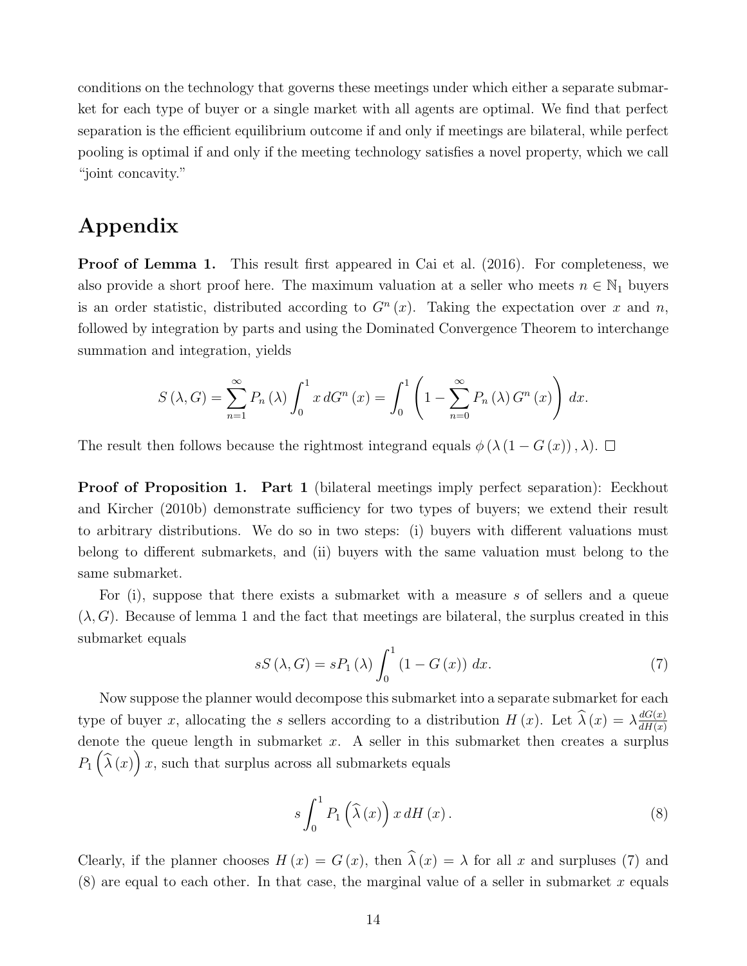conditions on the technology that governs these meetings under which either a separate submarket for each type of buyer or a single market with all agents are optimal. We find that perfect separation is the efficient equilibrium outcome if and only if meetings are bilateral, while perfect pooling is optimal if and only if the meeting technology satisfies a novel property, which we call "joint concavity."

### Appendix

**Proof of Lemma 1.** This result first appeared in Cai et al. (2016). For completeness, we also provide a short proof here. The maximum valuation at a seller who meets  $n \in \mathbb{N}_1$  buyers is an order statistic, distributed according to  $G<sup>n</sup>(x)$ . Taking the expectation over *x* and *n*, followed by integration by parts and using the Dominated Convergence Theorem to interchange summation and integration, yields

$$
S(\lambda, G) = \sum_{n=1}^{\infty} P_n(\lambda) \int_0^1 x dG^n(x) = \int_0^1 \left(1 - \sum_{n=0}^{\infty} P_n(\lambda) G^n(x)\right) dx.
$$

The result then follows because the rightmost integrand equals  $\phi(\lambda(1-G(x)),\lambda)$ .

Proof of Proposition 1. Part 1 (bilateral meetings imply perfect separation): Eeckhout and Kircher (2010b) demonstrate sufficiency for two types of buyers; we extend their result to arbitrary distributions. We do so in two steps: (i) buyers with different valuations must belong to different submarkets, and (ii) buyers with the same valuation must belong to the same submarket.

For (i), suppose that there exists a submarket with a measure *s* of sellers and a queue  $(\lambda, G)$ . Because of lemma 1 and the fact that meetings are bilateral, the surplus created in this submarket equals

$$
sS\left(\lambda, G\right) = sP_1\left(\lambda\right) \int_0^1 \left(1 - G\left(x\right)\right) \, dx. \tag{7}
$$

Now suppose the planner would decompose this submarket into a separate submarket for each type of buyer *x*, allocating the *s* sellers according to a distribution  $H(x)$ . Let  $\widehat{\lambda}(x) = \lambda \frac{dG(x)}{dH(x)}$ denote the queue length in submarket *x*. A seller in this submarket then creates a surplus  $P_1\left(\widehat{\lambda}(x)\right)x$ , such that surplus across all submarkets equals

$$
s\int_0^1 P_1\left(\widehat{\lambda}\left(x\right)\right)x\,dH\left(x\right). \tag{8}
$$

Clearly, if the planner chooses  $H(x) = G(x)$ , then  $\hat{\lambda}(x) = \lambda$  for all *x* and surpluses (7) and (8) are equal to each other. In that case, the marginal value of a seller in submarket *x* equals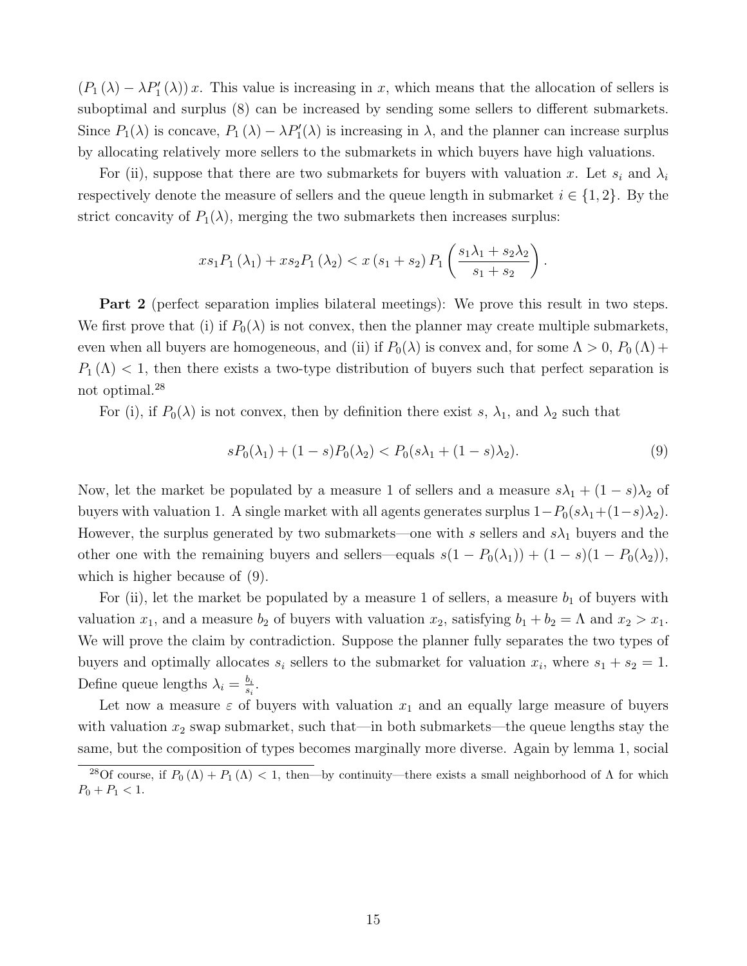$(P_1(\lambda) - \lambda P'_1(\lambda)) x$ . This value is increasing in *x*, which means that the allocation of sellers is suboptimal and surplus  $(8)$  can be increased by sending some sellers to different submarkets. Since  $P_1(\lambda)$  is concave,  $P_1(\lambda) - \lambda P_1'(\lambda)$  is increasing in  $\lambda$ , and the planner can increase surplus by allocating relatively more sellers to the submarkets in which buyers have high valuations.

For (ii), suppose that there are two submarkets for buyers with valuation x. Let  $s_i$  and  $\lambda_i$ respectively denote the measure of sellers and the queue length in submarket  $i \in \{1, 2\}$ . By the strict concavity of  $P_1(\lambda)$ , merging the two submarkets then increases surplus:

$$
xs_1P_1(\lambda_1) + xs_2P_1(\lambda_2) < x(s_1 + s_2)P_1\left(\frac{s_1\lambda_1 + s_2\lambda_2}{s_1 + s_2}\right).
$$

Part 2 (perfect separation implies bilateral meetings): We prove this result in two steps. We first prove that (i) if  $P_0(\lambda)$  is not convex, then the planner may create multiple submarkets, even when all buyers are homogeneous, and (ii) if  $P_0(\lambda)$  is convex and, for some  $\Lambda > 0$ ,  $P_0(\Lambda)$  +  $P_1(\Lambda)$  < 1, then there exists a two-type distribution of buyers such that perfect separation is not optimal.<sup>28</sup>

For (i), if  $P_0(\lambda)$  is not convex, then by definition there exist *s*,  $\lambda_1$ , and  $\lambda_2$  such that

$$
sP_0(\lambda_1) + (1 - s)P_0(\lambda_2) < P_0(s\lambda_1 + (1 - s)\lambda_2). \tag{9}
$$

Now, let the market be populated by a measure 1 of sellers and a measure  $s\lambda_1 + (1 - s)\lambda_2$  of buyers with valuation 1. A single market with all agents generates surplus  $1-P_0(s\lambda_1+(1-s)\lambda_2)$ . However, the surplus generated by two submarkets—one with  $s$  sellers and  $s\lambda_1$  buyers and the other one with the remaining buyers and sellers—equals  $s(1 - P_0(\lambda_1)) + (1 - s)(1 - P_0(\lambda_2)),$ which is higher because of (9).

For (ii), let the market be populated by a measure 1 of sellers, a measure  $b_1$  of buyers with valuation  $x_1$ , and a measure  $b_2$  of buyers with valuation  $x_2$ , satisfying  $b_1 + b_2 = \Lambda$  and  $x_2 > x_1$ . We will prove the claim by contradiction. Suppose the planner fully separates the two types of buyers and optimally allocates  $s_i$  sellers to the submarket for valuation  $x_i$ , where  $s_1 + s_2 = 1$ . Define queue lengths  $\lambda_i = \frac{b_i}{s_i}$ .

Let now a measure  $\varepsilon$  of buyers with valuation  $x_1$  and an equally large measure of buyers with valuation  $x_2$  swap submarket, such that—in both submarkets—the queue lengths stay the same, but the composition of types becomes marginally more diverse. Again by lemma 1, social

<sup>&</sup>lt;sup>28</sup>Of course, if  $P_0(\Lambda) + P_1(\Lambda) < 1$ , then—by continuity—there exists a small neighborhood of  $\Lambda$  for which  $P_0 + P_1 < 1.$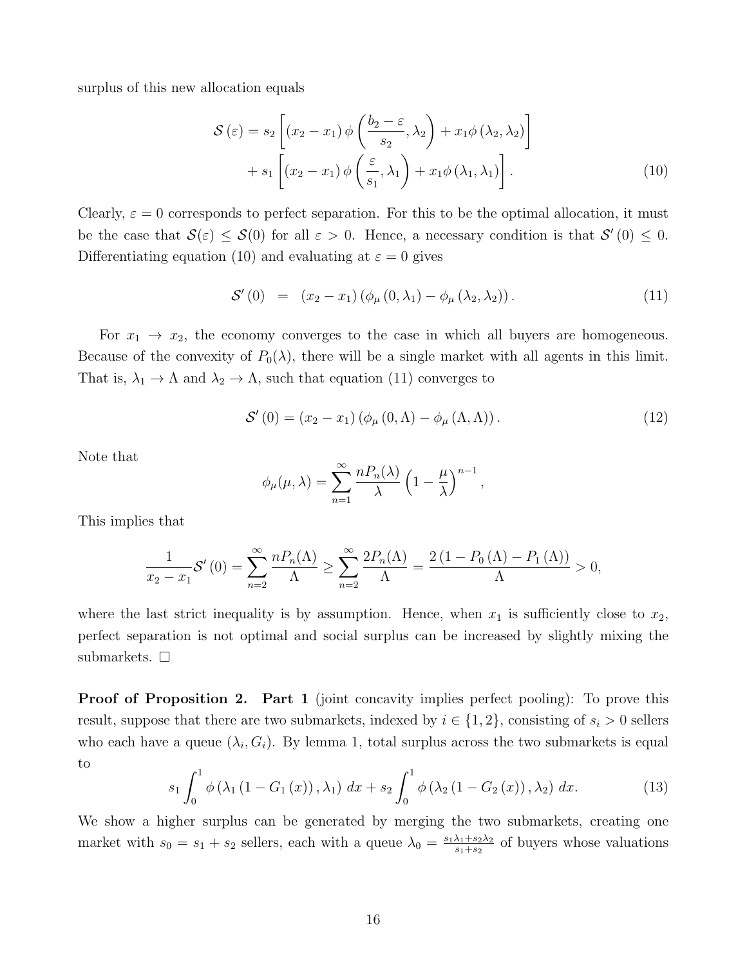surplus of this new allocation equals

$$
\mathcal{S}(\varepsilon) = s_2 \left[ (x_2 - x_1) \phi \left( \frac{b_2 - \varepsilon}{s_2}, \lambda_2 \right) + x_1 \phi (\lambda_2, \lambda_2) \right] + s_1 \left[ (x_2 - x_1) \phi \left( \frac{\varepsilon}{s_1}, \lambda_1 \right) + x_1 \phi (\lambda_1, \lambda_1) \right].
$$
 (10)

Clearly,  $\varepsilon = 0$  corresponds to perfect separation. For this to be the optimal allocation, it must be the case that  $\mathcal{S}(\varepsilon) \leq \mathcal{S}(0)$  for all  $\varepsilon > 0$ . Hence, a necessary condition is that  $\mathcal{S}'(0) \leq 0$ . Differentiating equation (10) and evaluating at  $\varepsilon = 0$  gives

$$
S'(0) = (x_2 - x_1) (\phi_{\mu} (0, \lambda_1) - \phi_{\mu} (\lambda_2, \lambda_2)). \tag{11}
$$

For  $x_1 \rightarrow x_2$ , the economy converges to the case in which all buyers are homogeneous. Because of the convexity of  $P_0(\lambda)$ , there will be a single market with all agents in this limit. That is,  $\lambda_1 \to \Lambda$  and  $\lambda_2 \to \Lambda$ , such that equation (11) converges to

$$
S'(0) = (x_2 - x_1) (\phi_{\mu} (0, \Lambda) - \phi_{\mu} (\Lambda, \Lambda)).
$$
 (12)

*,*

Note that

$$
\phi_{\mu}(\mu,\lambda) = \sum_{n=1}^{\infty} \frac{n P_n(\lambda)}{\lambda} \left(1 - \frac{\mu}{\lambda}\right)^{n-1}
$$

This implies that

$$
\frac{1}{x_2 - x_1} \mathcal{S}'\left(0\right) = \sum_{n=2}^{\infty} \frac{n P_n(\Lambda)}{\Lambda} \ge \sum_{n=2}^{\infty} \frac{2 P_n(\Lambda)}{\Lambda} = \frac{2\left(1 - P_0\left(\Lambda\right) - P_1\left(\Lambda\right)\right)}{\Lambda} > 0,
$$

where the last strict inequality is by assumption. Hence, when  $x_1$  is sufficiently close to  $x_2$ , perfect separation is not optimal and social surplus can be increased by slightly mixing the submarkets.  $\square$ 

**Proof of Proposition 2. Part 1** (joint concavity implies perfect pooling): To prove this result, suppose that there are two submarkets, indexed by  $i \in \{1, 2\}$ , consisting of  $s_i > 0$  sellers who each have a queue  $(\lambda_i, G_i)$ . By lemma 1, total surplus across the two submarkets is equal to

$$
s_{1} \int_{0}^{1} \phi\left(\lambda_{1}\left(1 - G_{1}\left(x\right)\right), \lambda_{1}\right) dx + s_{2} \int_{0}^{1} \phi\left(\lambda_{2}\left(1 - G_{2}\left(x\right)\right), \lambda_{2}\right) dx.
$$
 (13)

We show a higher surplus can be generated by merging the two submarkets, creating one market with  $s_0 = s_1 + s_2$  sellers, each with a queue  $\lambda_0 = \frac{s_1 \lambda_1 + s_2 \lambda_2}{s_1 + s_2}$  of buyers whose valuations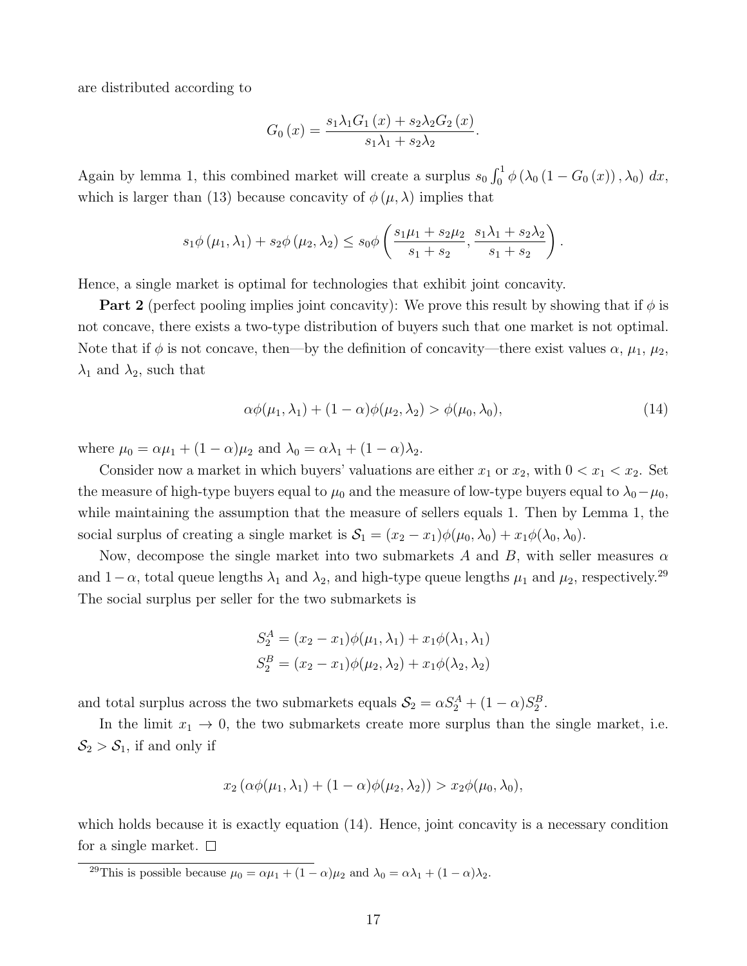are distributed according to

$$
G_0(x) = \frac{s_1 \lambda_1 G_1(x) + s_2 \lambda_2 G_2(x)}{s_1 \lambda_1 + s_2 \lambda_2}.
$$

Again by lemma 1, this combined market will create a surplus  $s_0 \int_0^1 \phi(\lambda_0 (1 - G_0(x)), \lambda_0) dx$ , which is larger than (13) because concavity of  $\phi(\mu, \lambda)$  implies that

$$
s_1\phi(\mu_1, \lambda_1) + s_2\phi(\mu_2, \lambda_2) \leq s_0\phi\left(\frac{s_1\mu_1 + s_2\mu_2}{s_1 + s_2}, \frac{s_1\lambda_1 + s_2\lambda_2}{s_1 + s_2}\right).
$$

Hence, a single market is optimal for technologies that exhibit joint concavity.

**Part 2** (perfect pooling implies joint concavity): We prove this result by showing that if  $\phi$  is not concave, there exists a two-type distribution of buyers such that one market is not optimal. Note that if  $\phi$  is not concave, then—by the definition of concavity—there exist values  $\alpha$ ,  $\mu_1$ ,  $\mu_2$ ,  $\lambda_1$  and  $\lambda_2$ , such that

$$
\alpha\phi(\mu_1, \lambda_1) + (1 - \alpha)\phi(\mu_2, \lambda_2) > \phi(\mu_0, \lambda_0),\tag{14}
$$

where  $\mu_0 = \alpha \mu_1 + (1 - \alpha)\mu_2$  and  $\lambda_0 = \alpha \lambda_1 + (1 - \alpha)\lambda_2$ .

Consider now a market in which buyers' valuations are either  $x_1$  or  $x_2$ , with  $0 < x_1 < x_2$ . Set the measure of high-type buyers equal to  $\mu_0$  and the measure of low-type buyers equal to  $\lambda_0 - \mu_0$ , while maintaining the assumption that the measure of sellers equals 1. Then by Lemma 1, the social surplus of creating a single market is  $S_1 = (x_2 - x_1)\phi(\mu_0, \lambda_0) + x_1\phi(\lambda_0, \lambda_0)$ .

Now, decompose the single market into two submarkets  $A$  and  $B$ , with seller measures  $\alpha$ and  $1-\alpha$ , total queue lengths  $\lambda_1$  and  $\lambda_2$ , and high-type queue lengths  $\mu_1$  and  $\mu_2$ , respectively.<sup>29</sup> The social surplus per seller for the two submarkets is

$$
S_2^A = (x_2 - x_1)\phi(\mu_1, \lambda_1) + x_1\phi(\lambda_1, \lambda_1)
$$
  

$$
S_2^B = (x_2 - x_1)\phi(\mu_2, \lambda_2) + x_1\phi(\lambda_2, \lambda_2)
$$

and total surplus across the two submarkets equals  $S_2 = \alpha S_2^A + (1 - \alpha) S_2^B$ .

In the limit  $x_1 \to 0$ , the two submarkets create more surplus than the single market, i.e.  $S_2 > S_1$ , if and only if

$$
x_2(\alpha\phi(\mu_1,\lambda_1)+(1-\alpha)\phi(\mu_2,\lambda_2))>x_2\phi(\mu_0,\lambda_0),
$$

which holds because it is exactly equation  $(14)$ . Hence, joint concavity is a necessary condition for a single market.  $\square$ 

<sup>&</sup>lt;sup>29</sup>This is possible because  $\mu_0 = \alpha \mu_1 + (1 - \alpha)\mu_2$  and  $\lambda_0 = \alpha \lambda_1 + (1 - \alpha)\lambda_2$ .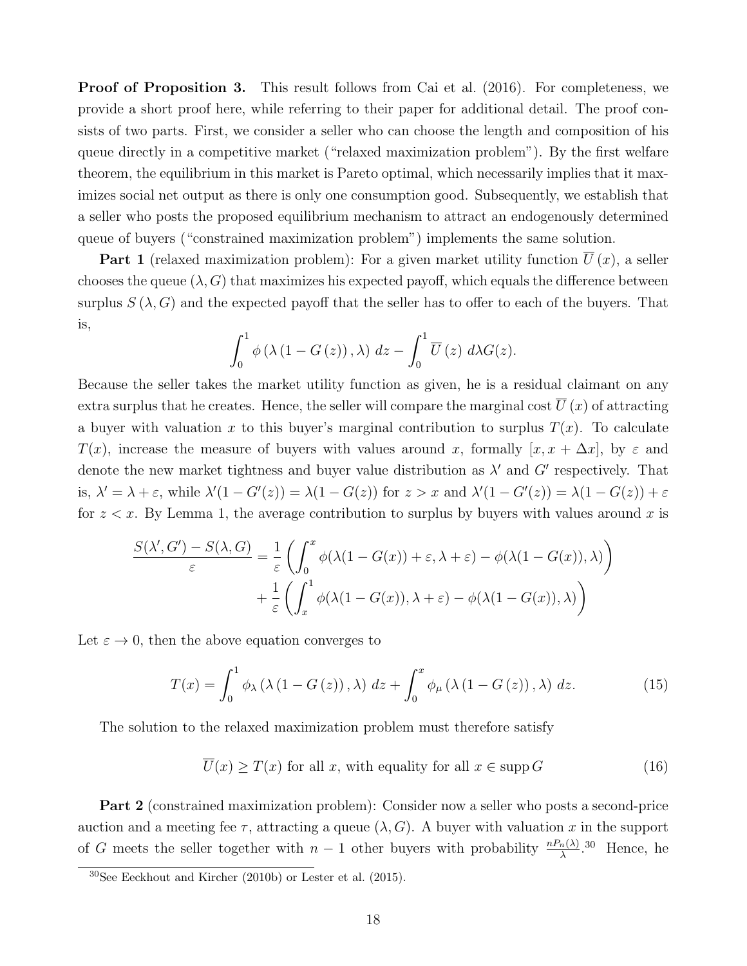**Proof of Proposition 3.** This result follows from Cai et al. (2016). For completeness, we provide a short proof here, while referring to their paper for additional detail. The proof consists of two parts. First, we consider a seller who can choose the length and composition of his queue directly in a competitive market ("relaxed maximization problem"). By the first welfare theorem, the equilibrium in this market is Pareto optimal, which necessarily implies that it maximizes social net output as there is only one consumption good. Subsequently, we establish that a seller who posts the proposed equilibrium mechanism to attract an endogenously determined queue of buyers ("constrained maximization problem") implements the same solution.

**Part 1** (relaxed maximization problem): For a given market utility function  $\overline{U}(x)$ , a seller chooses the queue  $(\lambda, G)$  that maximizes his expected payoff, which equals the difference between surplus  $S(\lambda, G)$  and the expected payoff that the seller has to offer to each of the buyers. That is,

$$
\int_0^1 \phi\left(\lambda\left(1-G\left(z\right)\right),\lambda\right) dz - \int_0^1 \overline{U}\left(z\right) d\lambda G(z).
$$

Because the seller takes the market utility function as given, he is a residual claimant on any extra surplus that he creates. Hence, the seller will compare the marginal cost  $\overline{U}(x)$  of attracting a buyer with valuation x to this buyer's marginal contribution to surplus  $T(x)$ . To calculate *T*(*x*), increase the measure of buyers with values around *x*, formally [*x, x* +  $\Delta x$ ], by  $\varepsilon$  and denote the new market tightness and buyer value distribution as  $\lambda'$  and  $G'$  respectively. That is,  $\lambda' = \lambda + \varepsilon$ , while  $\lambda'(1 - G'(z)) = \lambda(1 - G(z))$  for  $z > x$  and  $\lambda'(1 - G'(z)) = \lambda(1 - G(z)) + \varepsilon$ for  $z < x$ . By Lemma 1, the average contribution to surplus by buyers with values around x is

$$
\frac{S(\lambda', G') - S(\lambda, G)}{\varepsilon} = \frac{1}{\varepsilon} \left( \int_0^x \phi(\lambda(1 - G(x)) + \varepsilon, \lambda + \varepsilon) - \phi(\lambda(1 - G(x)), \lambda) \right) + \frac{1}{\varepsilon} \left( \int_x^1 \phi(\lambda(1 - G(x)), \lambda + \varepsilon) - \phi(\lambda(1 - G(x)), \lambda) \right)
$$

Let  $\varepsilon \to 0$ , then the above equation converges to

$$
T(x) = \int_0^1 \phi_\lambda \left( \lambda \left( 1 - G\left( z \right) \right), \lambda \right) \, dz + \int_0^x \phi_\mu \left( \lambda \left( 1 - G\left( z \right) \right), \lambda \right) \, dz. \tag{15}
$$

The solution to the relaxed maximization problem must therefore satisfy

$$
\overline{U}(x) \ge T(x) \text{ for all } x, \text{ with equality for all } x \in \text{supp } G \tag{16}
$$

Part 2 (constrained maximization problem): Consider now a seller who posts a second-price auction and a meeting fee  $\tau$ , attracting a queue  $(\lambda, G)$ . A buyer with valuation x in the support of *G* meets the seller together with  $n-1$  other buyers with probability  $\frac{nP_n(\lambda)}{\lambda}$ .<sup>30</sup> Hence, he

 $30$ See Eeckhout and Kircher (2010b) or Lester et al. (2015).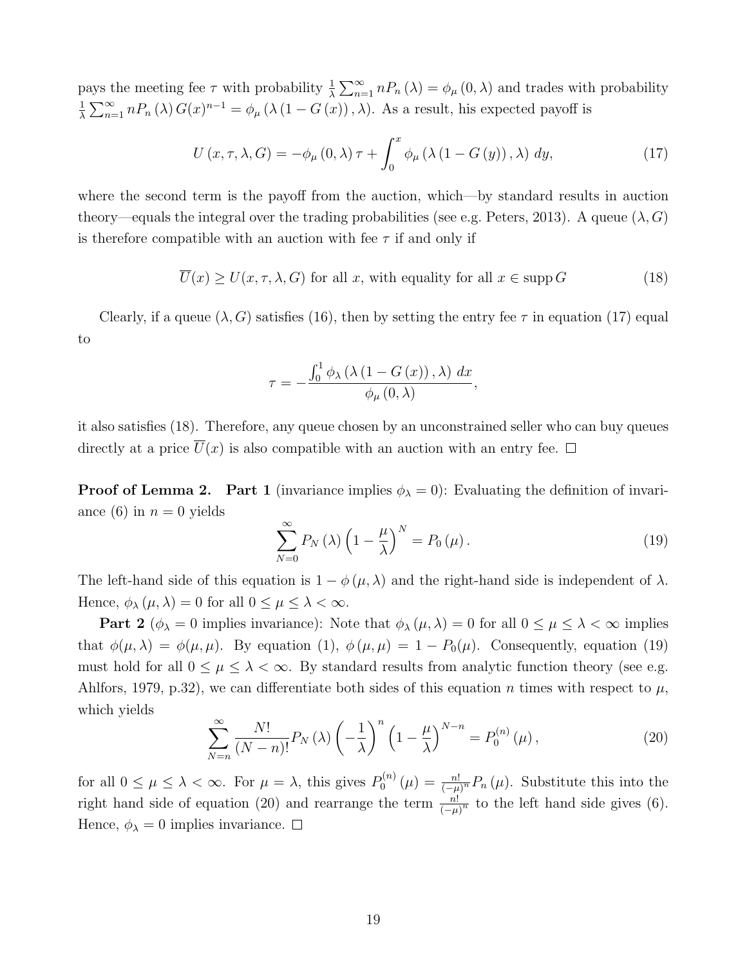pays the meeting fee  $\tau$  with probability  $\frac{1}{\lambda} \sum_{n=1}^{\infty} n P_n(\lambda) = \phi_{\mu}(0, \lambda)$  and trades with probability 1  $\frac{1}{\lambda} \sum_{n=1}^{\infty} n P_n(\lambda) G(x)^{n-1} = \phi_\mu(\lambda(1 - G(x)), \lambda)$ . As a result, his expected payoff is

$$
U(x, \tau, \lambda, G) = -\phi_{\mu}(0, \lambda)\tau + \int_0^x \phi_{\mu}(\lambda(1 - G(y)), \lambda) dy,
$$
\n(17)

where the second term is the payoff from the auction, which—by standard results in auction theory—equals the integral over the trading probabilities (see e.g. Peters, 2013). A queue  $(\lambda, G)$ is therefore compatible with an auction with fee  $\tau$  if and only if

 $\overline{U}(x) \ge U(x, \tau, \lambda, G)$  for all *x*, with equality for all  $x \in \text{supp } G$  (18)

Clearly, if a queue  $(\lambda, G)$  satisfies (16), then by setting the entry fee  $\tau$  in equation (17) equal to

$$
\tau = -\frac{\int_0^1 \phi_\lambda \left( \lambda \left( 1 - G\left( x \right) \right), \lambda \right) \, dx}{\phi_\mu \left( 0, \lambda \right)},
$$

it also satisfies (18). Therefore, any queue chosen by an unconstrained seller who can buy queues directly at a price  $\overline{U}(x)$  is also compatible with an auction with an entry fee.  $\Box$ 

**Proof of Lemma 2.** Part 1 (invariance implies  $\phi_{\lambda} = 0$ ): Evaluating the definition of invariance (6) in  $n = 0$  yields

$$
\sum_{N=0}^{\infty} P_N(\lambda) \left( 1 - \frac{\mu}{\lambda} \right)^N = P_0(\mu).
$$
 (19)

The left-hand side of this equation is  $1 - \phi(\mu, \lambda)$  and the right-hand side is independent of  $\lambda$ . Hence,  $\phi_{\lambda}(\mu, \lambda) = 0$  for all  $0 \le \mu \le \lambda < \infty$ .

**Part 2** ( $\phi_{\lambda} = 0$  implies invariance): Note that  $\phi_{\lambda}(\mu, \lambda) = 0$  for all  $0 \le \mu \le \lambda < \infty$  implies that  $\phi(\mu, \lambda) = \phi(\mu, \mu)$ . By equation (1),  $\phi(\mu, \mu) = 1 - P_0(\mu)$ . Consequently, equation (19) must hold for all  $0 \leq \mu \leq \lambda < \infty$ . By standard results from analytic function theory (see e.g. Ahlfors, 1979, p.32), we can differentiate both sides of this equation *n* times with respect to  $\mu$ , which yields

$$
\sum_{N=n}^{\infty} \frac{N!}{(N-n)!} P_N(\lambda) \left(-\frac{1}{\lambda}\right)^n \left(1 - \frac{\mu}{\lambda}\right)^{N-n} = P_0^{(n)}(\mu),\tag{20}
$$

for all  $0 \le \mu \le \lambda < \infty$ . For  $\mu = \lambda$ , this gives  $P_0^{(n)}(\mu) = \frac{n!}{(-\mu)^n} P_n(\mu)$ . Substitute this into the right hand side of equation (20) and rearrange the term  $\frac{n!}{(-\mu)^n}$  to the left hand side gives (6). Hence,  $\phi_{\lambda} = 0$  implies invariance.  $\square$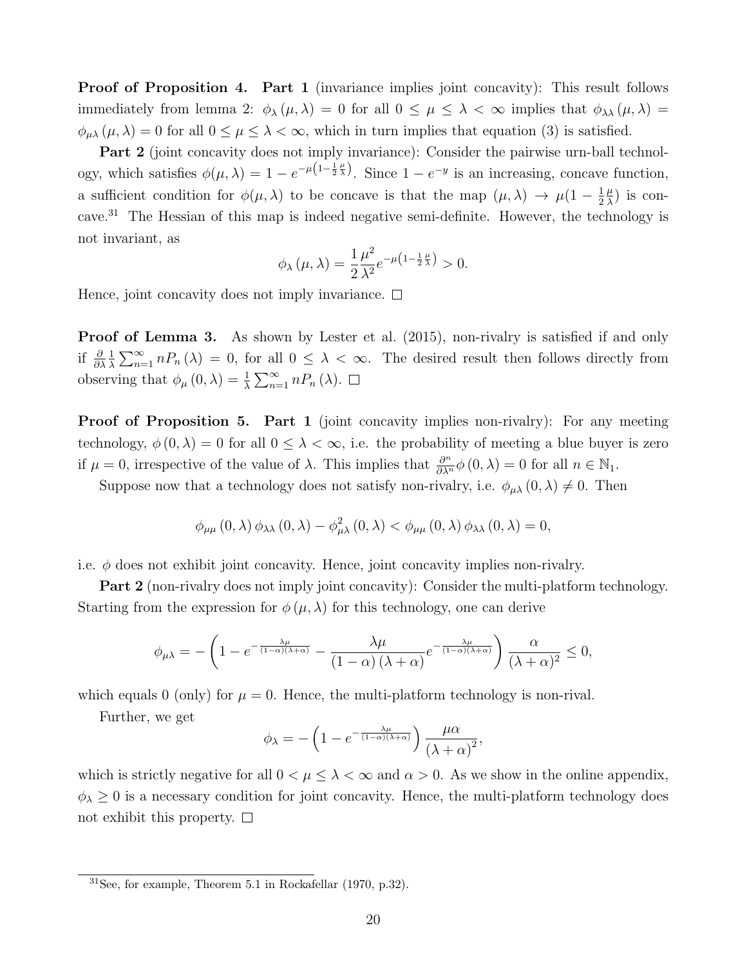Proof of Proposition 4. Part 1 (invariance implies joint concavity): This result follows immediately from lemma 2:  $\phi_{\lambda}(\mu, \lambda) = 0$  for all  $0 \leq \mu \leq \lambda < \infty$  implies that  $\phi_{\lambda\lambda}(\mu, \lambda) =$  $\phi_{\mu\lambda}(\mu,\lambda) = 0$  for all  $0 \le \mu \le \lambda < \infty$ , which in turn implies that equation (3) is satisfied.

Part 2 (joint concavity does not imply invariance): Consider the pairwise urn-ball technology, which satisfies  $\phi(\mu, \lambda) = 1 - e^{-\mu \left(1 - \frac{1}{2}\frac{\mu}{\lambda}\right)}$ . Since  $1 - e^{-y}$  is an increasing, concave function, a sufficient condition for  $\phi(\mu, \lambda)$  to be concave is that the map  $(\mu, \lambda) \to \mu(1 - \frac{1}{2})$  $\frac{\mu}{\lambda}$ ) is concave.<sup>31</sup> The Hessian of this map is indeed negative semi-definite. However, the technology is not invariant, as

$$
\phi_{\lambda}(\mu,\lambda) = \frac{1}{2} \frac{\mu^2}{\lambda^2} e^{-\mu \left(1 - \frac{1}{2}\frac{\mu}{\lambda}\right)} > 0.
$$

Hence, joint concavity does not imply invariance.  $\Box$ 

**Proof of Lemma 3.** As shown by Lester et al. (2015), non-rivalry is satisfied if and only if  $\frac{\partial}{\partial \lambda}$ 1  $\frac{1}{\lambda} \sum_{n=1}^{\infty} n P_n(\lambda) = 0$ , for all  $0 \leq \lambda < \infty$ . The desired result then follows directly from observing that  $\phi_{\mu}(0, \lambda) = \frac{1}{\lambda} \sum_{n=1}^{\infty} n P_n(\lambda)$ .

**Proof of Proposition 5. Part 1** (joint concavity implies non-rivalry): For any meeting technology,  $\phi(0,\lambda) = 0$  for all  $0 \leq \lambda < \infty$ , i.e. the probability of meeting a blue buyer is zero if  $\mu = 0$ , irrespective of the value of  $\lambda$ . This implies that  $\frac{\partial^n}{\partial \lambda^n} \phi(0, \lambda) = 0$  for all  $n \in \mathbb{N}_1$ .

Suppose now that a technology does not satisfy non-rivalry, i.e.  $\phi_{\mu\lambda}(0,\lambda) \neq 0$ . Then

$$
\phi_{\mu\mu}(0,\lambda)\,\phi_{\lambda\lambda}(0,\lambda)-\phi_{\mu\lambda}^{2}(0,\lambda)<\phi_{\mu\mu}(0,\lambda)\,\phi_{\lambda\lambda}(0,\lambda)=0,
$$

i.e.  $\phi$  does not exhibit joint concavity. Hence, joint concavity implies non-rivalry.

Part 2 (non-rivalry does not imply joint concavity): Consider the multi-platform technology. Starting from the expression for  $\phi(\mu, \lambda)$  for this technology, one can derive

$$
\phi_{\mu\lambda} = -\left(1 - e^{-\frac{\lambda\mu}{(1-\alpha)(\lambda+\alpha)}} - \frac{\lambda\mu}{(1-\alpha)(\lambda+\alpha)}e^{-\frac{\lambda\mu}{(1-\alpha)(\lambda+\alpha)}}\right)\frac{\alpha}{(\lambda+\alpha)^2} \le 0,
$$

which equals 0 (only) for  $\mu = 0$ . Hence, the multi-platform technology is non-rival.

Further, we get

$$
\phi_{\lambda} = -\left(1 - e^{-\frac{\lambda\mu}{(1-\alpha)(\lambda+\alpha)}}\right) \frac{\mu\alpha}{\left(\lambda+\alpha\right)^2},
$$

which is strictly negative for all  $0 < \mu \leq \lambda < \infty$  and  $\alpha > 0$ . As we show in the online appendix,  $\phi_{\lambda} \geq 0$  is a necessary condition for joint concavity. Hence, the multi-platform technology does not exhibit this property.  $\square$ 

 $31$ See, for example, Theorem 5.1 in Rockafellar (1970, p.32).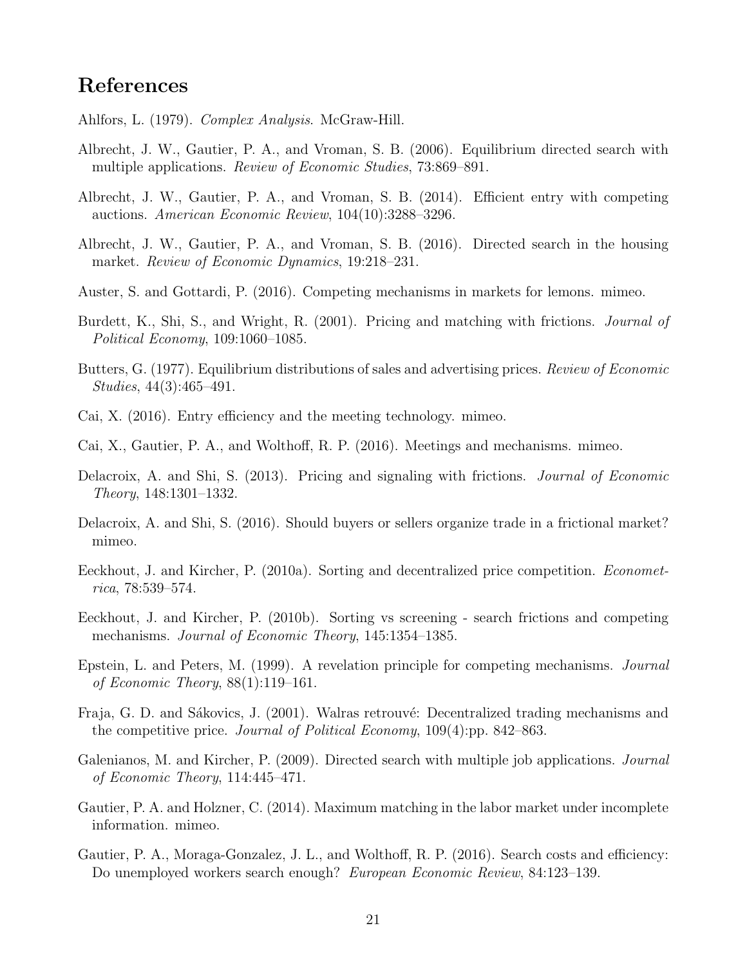### References

- Ahlfors, L. (1979). *Complex Analysis*. McGraw-Hill.
- Albrecht, J. W., Gautier, P. A., and Vroman, S. B. (2006). Equilibrium directed search with multiple applications. *Review of Economic Studies*, 73:869–891.
- Albrecht, J. W., Gautier, P. A., and Vroman, S. B. (2014). Efficient entry with competing auctions. *American Economic Review*, 104(10):3288–3296.
- Albrecht, J. W., Gautier, P. A., and Vroman, S. B. (2016). Directed search in the housing market. *Review of Economic Dynamics*, 19:218–231.
- Auster, S. and Gottardi, P. (2016). Competing mechanisms in markets for lemons. mimeo.
- Burdett, K., Shi, S., and Wright, R. (2001). Pricing and matching with frictions. *Journal of Political Economy*, 109:1060–1085.
- Butters, G. (1977). Equilibrium distributions of sales and advertising prices. *Review of Economic Studies*, 44(3):465–491.
- Cai, X. (2016). Entry efficiency and the meeting technology. mimeo.
- Cai, X., Gautier, P. A., and Wolthoff, R. P. (2016). Meetings and mechanisms. mimeo.
- Delacroix, A. and Shi, S. (2013). Pricing and signaling with frictions. *Journal of Economic Theory*, 148:1301–1332.
- Delacroix, A. and Shi, S. (2016). Should buyers or sellers organize trade in a frictional market? mimeo.
- Eeckhout, J. and Kircher, P. (2010a). Sorting and decentralized price competition. *Econometrica*, 78:539–574.
- Eeckhout, J. and Kircher, P. (2010b). Sorting vs screening search frictions and competing mechanisms. *Journal of Economic Theory*, 145:1354–1385.
- Epstein, L. and Peters, M. (1999). A revelation principle for competing mechanisms. *Journal of Economic Theory*, 88(1):119–161.
- Fraja, G. D. and Sákovics, J. (2001). Walras retrouvé: Decentralized trading mechanisms and the competitive price. *Journal of Political Economy*, 109(4):pp. 842–863.
- Galenianos, M. and Kircher, P. (2009). Directed search with multiple job applications. *Journal of Economic Theory*, 114:445–471.
- Gautier, P. A. and Holzner, C. (2014). Maximum matching in the labor market under incomplete information. mimeo.
- Gautier, P. A., Moraga-Gonzalez, J. L., and Wolthoff, R. P. (2016). Search costs and efficiency: Do unemployed workers search enough? *European Economic Review*, 84:123–139.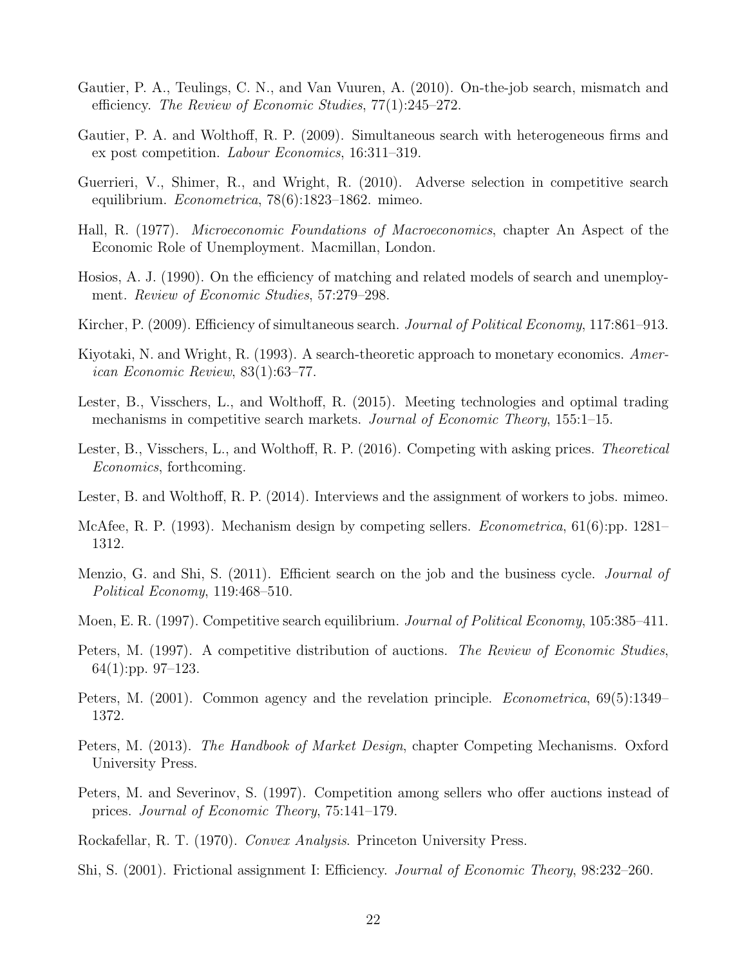- Gautier, P. A., Teulings, C. N., and Van Vuuren, A. (2010). On-the-job search, mismatch and efficiency. *The Review of Economic Studies*,  $77(1):245-272$ .
- Gautier, P. A. and Wolthoff, R. P. (2009). Simultaneous search with heterogeneous firms and ex post competition. *Labour Economics*, 16:311–319.
- Guerrieri, V., Shimer, R., and Wright, R. (2010). Adverse selection in competitive search equilibrium. *Econometrica*, 78(6):1823–1862. mimeo.
- Hall, R. (1977). *Microeconomic Foundations of Macroeconomics*, chapter An Aspect of the Economic Role of Unemployment. Macmillan, London.
- Hosios, A. J. (1990). On the efficiency of matching and related models of search and unemployment. *Review of Economic Studies*, 57:279–298.
- Kircher, P. (2009). Efficiency of simultaneous search. *Journal of Political Economy*, 117:861-913.
- Kiyotaki, N. and Wright, R. (1993). A search-theoretic approach to monetary economics. *American Economic Review*, 83(1):63–77.
- Lester, B., Visschers, L., and Wolthoff, R. (2015). Meeting technologies and optimal trading mechanisms in competitive search markets. *Journal of Economic Theory*, 155:1–15.
- Lester, B., Visschers, L., and Wolthoff, R. P. (2016). Competing with asking prices. *Theoretical Economics*, forthcoming.
- Lester, B. and Wolthoff, R. P. (2014). Interviews and the assignment of workers to jobs. mimeo.
- McAfee, R. P. (1993). Mechanism design by competing sellers. *Econometrica*, 61(6):pp. 1281– 1312.
- Menzio, G. and Shi, S. (2011). Efficient search on the job and the business cycle. *Journal of Political Economy*, 119:468–510.
- Moen, E. R. (1997). Competitive search equilibrium. *Journal of Political Economy*, 105:385–411.
- Peters, M. (1997). A competitive distribution of auctions. *The Review of Economic Studies*, 64(1):pp. 97–123.
- Peters, M. (2001). Common agency and the revelation principle. *Econometrica*, 69(5):1349– 1372.
- Peters, M. (2013). *The Handbook of Market Design*, chapter Competing Mechanisms. Oxford University Press.
- Peters, M. and Severinov, S. (1997). Competition among sellers who offer auctions instead of prices. *Journal of Economic Theory*, 75:141–179.
- Rockafellar, R. T. (1970). *Convex Analysis*. Princeton University Press.
- Shi, S. (2001). Frictional assignment I: Efficiency. *Journal of Economic Theory*, 98:232–260.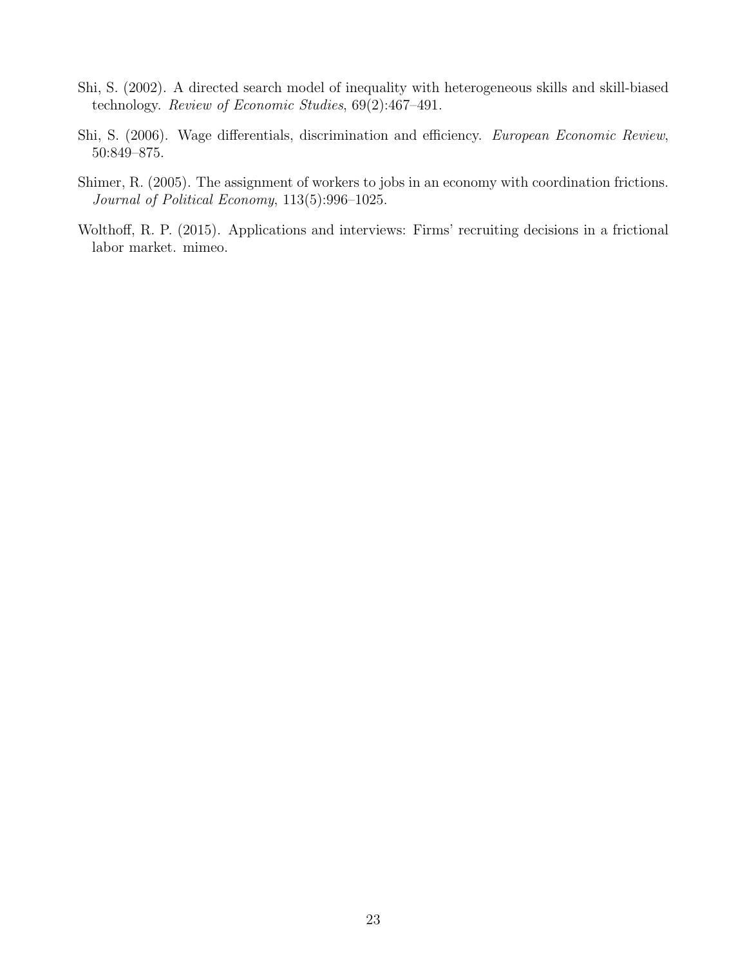- Shi, S. (2002). A directed search model of inequality with heterogeneous skills and skill-biased technology. *Review of Economic Studies*, 69(2):467–491.
- Shi, S. (2006). Wage differentials, discrimination and efficiency. *European Economic Review*, 50:849–875.
- Shimer, R. (2005). The assignment of workers to jobs in an economy with coordination frictions. *Journal of Political Economy*, 113(5):996–1025.
- Wolthoff, R. P. (2015). Applications and interviews: Firms' recruiting decisions in a frictional labor market. mimeo.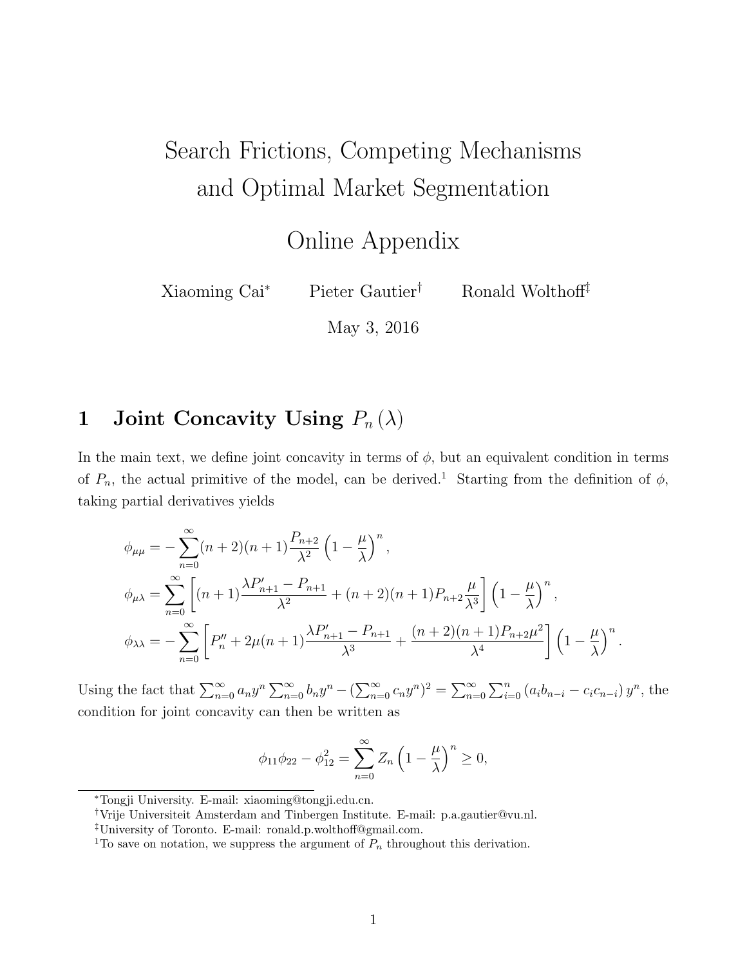# Search Frictions, Competing Mechanisms and Optimal Market Segmentation

Online Appendix

Xiaoming Cai<sup>\*</sup> Pieter Gautier<sup>†</sup> Ronald Wolthof<sup>†</sup>

May 3, 2016

## 1 Joint Concavity Using  $P_n(\lambda)$

In the main text, we define joint concavity in terms of  $\phi$ , but an equivalent condition in terms of  $P_n$ , the actual primitive of the model, can be derived.<sup>1</sup> Starting from the definition of  $\phi$ , taking partial derivatives yields

$$
\phi_{\mu\mu} = -\sum_{n=0}^{\infty} (n+2)(n+1) \frac{P_{n+2}}{\lambda^2} \left(1 - \frac{\mu}{\lambda}\right)^n,
$$
  
\n
$$
\phi_{\mu\lambda} = \sum_{n=0}^{\infty} \left[ (n+1) \frac{\lambda P'_{n+1} - P_{n+1}}{\lambda^2} + (n+2)(n+1) P_{n+2} \frac{\mu}{\lambda^3} \right] \left(1 - \frac{\mu}{\lambda}\right)^n,
$$
  
\n
$$
\phi_{\lambda\lambda} = -\sum_{n=0}^{\infty} \left[ P''_n + 2\mu(n+1) \frac{\lambda P'_{n+1} - P_{n+1}}{\lambda^3} + \frac{(n+2)(n+1) P_{n+2} \mu^2}{\lambda^4} \right] \left(1 - \frac{\mu}{\lambda}\right)^n.
$$

Using the fact that  $\sum_{n=0}^{\infty} a_n y^n \sum_{n=0}^{\infty} b_n y^n - (\sum_{n=0}^{\infty} c_n y^n)^2 = \sum_{n=0}^{\infty} \sum_{i=0}^n (a_i b_{n-i} - c_i c_{n-i}) y^n$ , the condition for joint concavity can then be written as

$$
\phi_{11}\phi_{22} - \phi_{12}^2 = \sum_{n=0}^{\infty} Z_n \left(1 - \frac{\mu}{\lambda}\right)^n \ge 0,
$$

<sup>⇤</sup>Tongji University. E-mail: xiaoming@tongji.edu.cn.

*<sup>†</sup>*Vrije Universiteit Amsterdam and Tinbergen Institute. E-mail: p.a.gautier@vu.nl.

<sup>&</sup>lt;sup>‡</sup>University of Toronto. E-mail: ronald.p.wolthoff@gmail.com.

<sup>&</sup>lt;sup>1</sup>To save on notation, we suppress the argument of  $P_n$  throughout this derivation.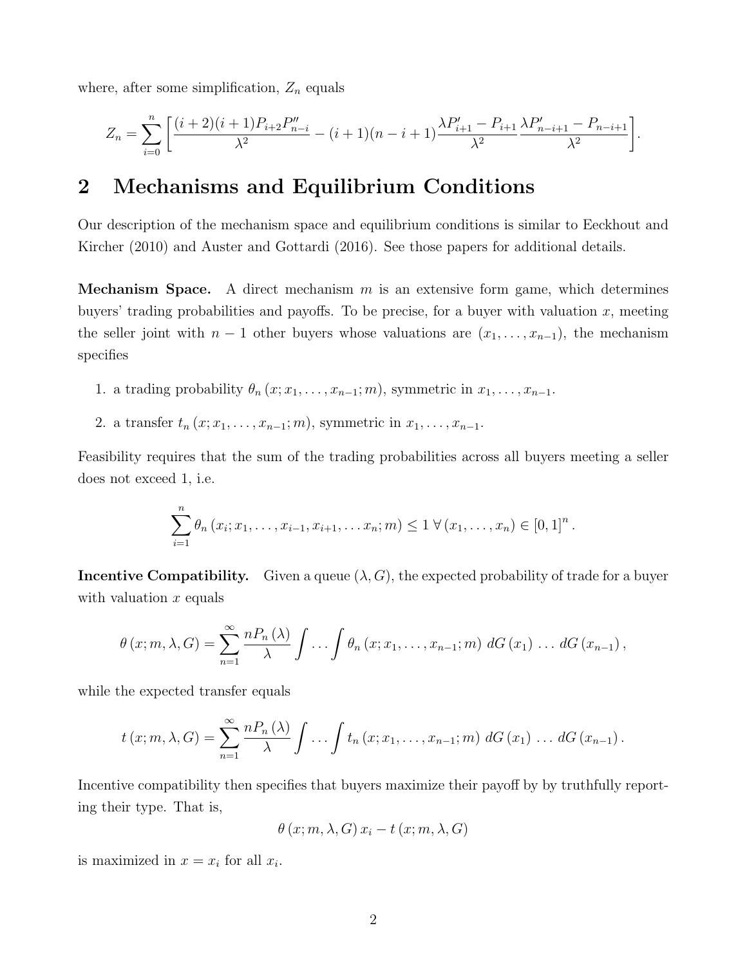where, after some simplification,  $Z_n$  equals

$$
Z_n = \sum_{i=0}^n \left[ \frac{(i+2)(i+1)P_{i+2}P''_{n-i}}{\lambda^2} - (i+1)(n-i+1)\frac{\lambda P'_{i+1} - P_{i+1}}{\lambda^2} \frac{\lambda P'_{n-i+1} - P_{n-i+1}}{\lambda^2} \right].
$$

### 2 Mechanisms and Equilibrium Conditions

Our description of the mechanism space and equilibrium conditions is similar to Eeckhout and Kircher (2010) and Auster and Gottardi (2016). See those papers for additional details.

Mechanism Space. A direct mechanism *m* is an extensive form game, which determines buyers' trading probabilities and payoffs. To be precise, for a buyer with valuation  $x$ , meeting the seller joint with  $n-1$  other buyers whose valuations are  $(x_1, \ldots, x_{n-1})$ , the mechanism specifies

- 1. a trading probability  $\theta_n(x; x_1, \ldots, x_{n-1}; m)$ , symmetric in  $x_1, \ldots, x_{n-1}$ .
- 2. a transfer  $t_n(x; x_1, \ldots, x_{n-1}; m)$ , symmetric in  $x_1, \ldots, x_{n-1}$ .

Feasibility requires that the sum of the trading probabilities across all buyers meeting a seller does not exceed 1, i.e.

$$
\sum_{i=1}^n \theta_n (x_i; x_1, \ldots, x_{i-1}, x_{i+1}, \ldots, x_n; m) \leq 1 \ \forall (x_1, \ldots, x_n) \in [0,1]^n.
$$

**Incentive Compatibility.** Given a queue  $(\lambda, G)$ , the expected probability of trade for a buyer with valuation *x* equals

$$
\theta(x; m, \lambda, G) = \sum_{n=1}^{\infty} \frac{n P_n(\lambda)}{\lambda} \int \ldots \int \theta_n(x; x_1, \ldots, x_{n-1}; m) \, dG(x_1) \ldots dG(x_{n-1}),
$$

while the expected transfer equals

$$
t(x; m, \lambda, G) = \sum_{n=1}^{\infty} \frac{n P_n(\lambda)}{\lambda} \int \ldots \int t_n(x; x_1, \ldots, x_{n-1}; m) dG(x_1) \ldots dG(x_{n-1}).
$$

Incentive compatibility then specifies that buyers maximize their payoff by by truthfully reporting their type. That is,

$$
\theta(x; m, \lambda, G) x_i - t(x; m, \lambda, G)
$$

is maximized in  $x = x_i$  for all  $x_i$ .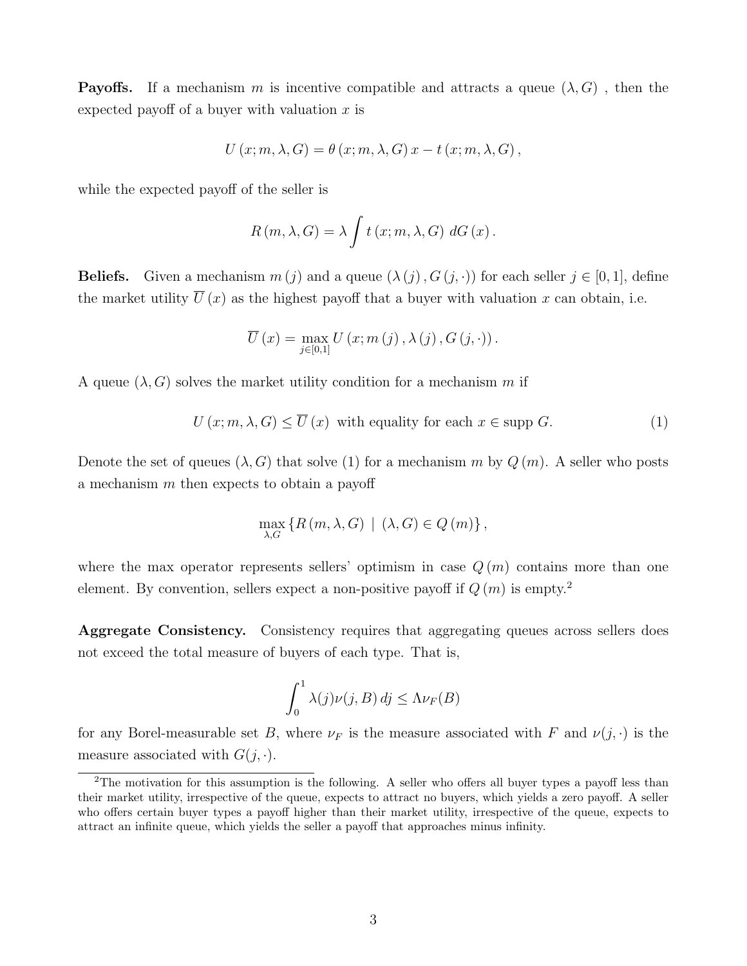**Payoffs.** If a mechanism m is incentive compatible and attracts a queue  $(\lambda, G)$ , then the expected payoff of a buyer with valuation  $x$  is

$$
U(x; m, \lambda, G) = \theta(x; m, \lambda, G) x - t(x; m, \lambda, G),
$$

while the expected payoff of the seller is

$$
R(m, \lambda, G) = \lambda \int t(x; m, \lambda, G) dG(x).
$$

**Beliefs.** Given a mechanism  $m(j)$  and a queue  $(\lambda(j), G(j, \cdot))$  for each seller  $j \in [0, 1]$ , define the market utility  $\overline{U}(x)$  as the highest payoff that a buyer with valuation *x* can obtain, i.e.

$$
\overline{U}(x) = \max_{j \in [0,1]} U(x; m(j), \lambda(j), G(j, \cdot)).
$$

A queue  $(\lambda, G)$  solves the market utility condition for a mechanism m if

$$
U(x; m, \lambda, G) \le \overline{U}(x) \text{ with equality for each } x \in \text{supp } G. \tag{1}
$$

Denote the set of queues  $(\lambda, G)$  that solve (1) for a mechanism *m* by  $Q(m)$ . A seller who posts a mechanism  $m$  then expects to obtain a payoff

$$
\max_{\lambda,G} \left\{ R(m,\lambda,G) \mid (\lambda,G) \in Q(m) \right\},\
$$

where the max operator represents sellers' optimism in case  $Q(m)$  contains more than one element. By convention, sellers expect a non-positive payoff if  $Q(m)$  is empty.<sup>2</sup>

Aggregate Consistency. Consistency requires that aggregating queues across sellers does not exceed the total measure of buyers of each type. That is,

$$
\int_0^1 \lambda(j)\nu(j,B)\,dj \le \Lambda \nu_F(B)
$$

for any Borel-measurable set *B*, where  $\nu_F$  is the measure associated with *F* and  $\nu(j, \cdot)$  is the measure associated with  $G(j, \cdot)$ .

<sup>&</sup>lt;sup>2</sup>The motivation for this assumption is the following. A seller who offers all buyer types a payoff less than their market utility, irrespective of the queue, expects to attract no buyers, which yields a zero payoff. A seller who offers certain buyer types a payoff higher than their market utility, irrespective of the queue, expects to attract an infinite queue, which yields the seller a payoff that approaches minus infinity.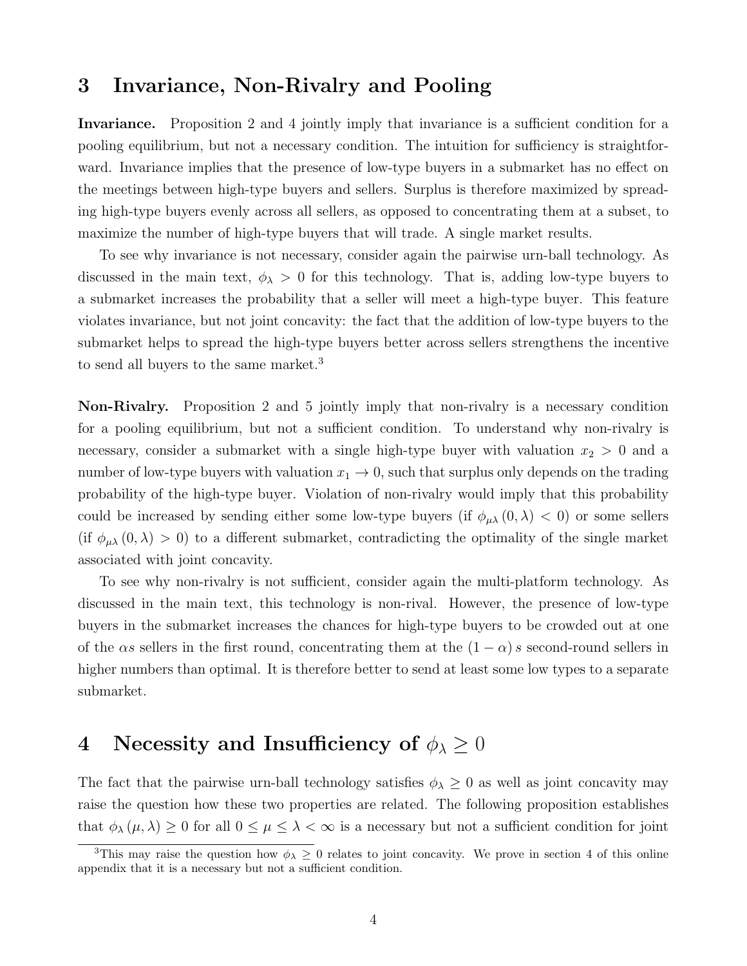### 3 Invariance, Non-Rivalry and Pooling

Invariance. Proposition 2 and 4 jointly imply that invariance is a sufficient condition for a pooling equilibrium, but not a necessary condition. The intuition for sufficiency is straightforward. Invariance implies that the presence of low-type buyers in a submarket has no effect on the meetings between high-type buyers and sellers. Surplus is therefore maximized by spreading high-type buyers evenly across all sellers, as opposed to concentrating them at a subset, to maximize the number of high-type buyers that will trade. A single market results.

To see why invariance is not necessary, consider again the pairwise urn-ball technology. As discussed in the main text,  $\phi_{\lambda} > 0$  for this technology. That is, adding low-type buyers to a submarket increases the probability that a seller will meet a high-type buyer. This feature violates invariance, but not joint concavity: the fact that the addition of low-type buyers to the submarket helps to spread the high-type buyers better across sellers strengthens the incentive to send all buyers to the same market.<sup>3</sup>

Non-Rivalry. Proposition 2 and 5 jointly imply that non-rivalry is a necessary condition for a pooling equilibrium, but not a sufficient condition. To understand why non-rivalry is necessary, consider a submarket with a single high-type buyer with valuation  $x_2 > 0$  and a number of low-type buyers with valuation  $x_1 \to 0$ , such that surplus only depends on the trading probability of the high-type buyer. Violation of non-rivalry would imply that this probability could be increased by sending either some low-type buyers (if  $\phi_{\mu\lambda}(0,\lambda) < 0$ ) or some sellers (if  $\phi_{\mu\lambda}(0,\lambda) > 0$ ) to a different submarket, contradicting the optimality of the single market associated with joint concavity.

To see why non-rivalry is not sufficient, consider again the multi-platform technology. As discussed in the main text, this technology is non-rival. However, the presence of low-type buyers in the submarket increases the chances for high-type buyers to be crowded out at one of the  $\alpha s$  sellers in the first round, concentrating them at the  $(1 - \alpha) s$  second-round sellers in higher numbers than optimal. It is therefore better to send at least some low types to a separate submarket.

### 4 Necessity and Insufficiency of  $\phi_{\lambda} \geq 0$

The fact that the pairwise urn-ball technology satisfies  $\phi_{\lambda} \geq 0$  as well as joint concavity may raise the question how these two properties are related. The following proposition establishes that  $\phi_{\lambda}(\mu, \lambda) \geq 0$  for all  $0 \leq \mu \leq \lambda < \infty$  is a necessary but not a sufficient condition for joint

<sup>&</sup>lt;sup>3</sup>This may raise the question how  $\phi_{\lambda} \geq 0$  relates to joint concavity. We prove in section 4 of this online appendix that it is a necessary but not a sufficient condition.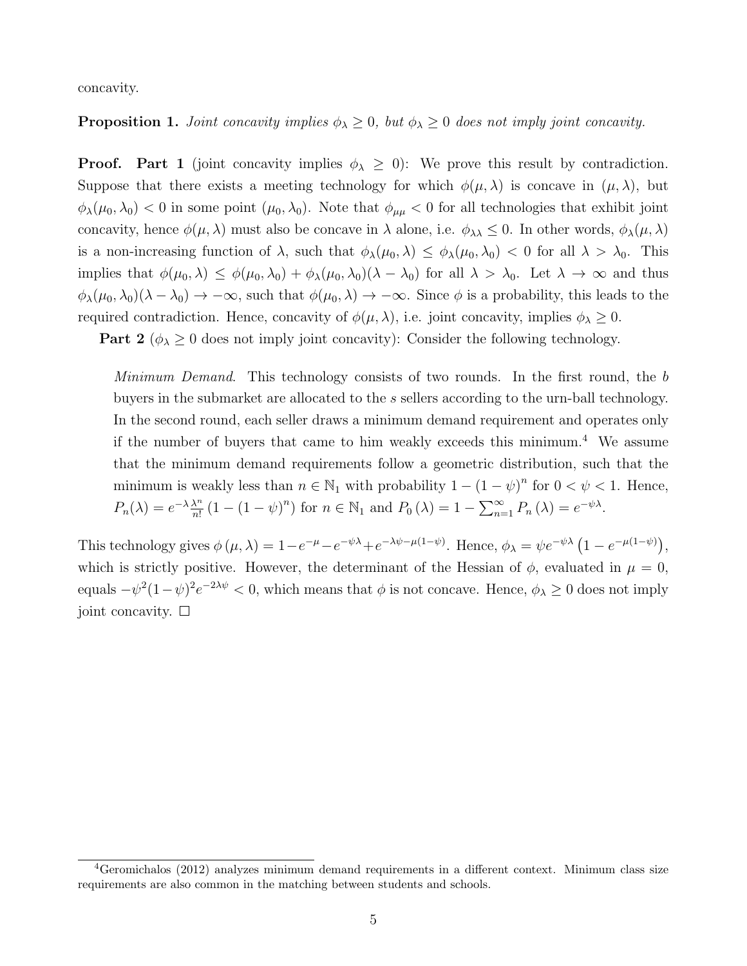concavity.

#### **Proposition 1.** *Joint concavity implies*  $\phi_{\lambda} \geq 0$ , *but*  $\phi_{\lambda} \geq 0$  *does not imply joint concavity.*

**Proof.** Part 1 (joint concavity implies  $\phi_{\lambda} \geq 0$ ): We prove this result by contradiction. Suppose that there exists a meeting technology for which  $\phi(\mu, \lambda)$  is concave in  $(\mu, \lambda)$ , but  $\phi_{\lambda}(\mu_0, \lambda_0) < 0$  in some point  $(\mu_0, \lambda_0)$ . Note that  $\phi_{\mu\mu} < 0$  for all technologies that exhibit joint concavity, hence  $\phi(\mu, \lambda)$  must also be concave in  $\lambda$  alone, i.e.  $\phi_{\lambda\lambda} \leq 0$ . In other words,  $\phi_{\lambda}(\mu, \lambda)$ is a non-increasing function of  $\lambda$ , such that  $\phi_{\lambda}(\mu_0, \lambda) \leq \phi_{\lambda}(\mu_0, \lambda_0) < 0$  for all  $\lambda > \lambda_0$ . This implies that  $\phi(\mu_0, \lambda) \leq \phi(\mu_0, \lambda_0) + \phi_\lambda(\mu_0, \lambda_0)(\lambda - \lambda_0)$  for all  $\lambda > \lambda_0$ . Let  $\lambda \to \infty$  and thus  $\phi_{\lambda}(\mu_0, \lambda_0)(\lambda - \lambda_0) \to -\infty$ , such that  $\phi(\mu_0, \lambda) \to -\infty$ . Since  $\phi$  is a probability, this leads to the required contradiction. Hence, concavity of  $\phi(\mu, \lambda)$ , i.e. joint concavity, implies  $\phi_{\lambda} \geq 0$ .

**Part 2** ( $\phi_{\lambda} \geq 0$  does not imply joint concavity): Consider the following technology.

*Minimum Demand*. This technology consists of two rounds. In the first round, the *b* buyers in the submarket are allocated to the *s* sellers according to the urn-ball technology. In the second round, each seller draws a minimum demand requirement and operates only if the number of buyers that came to him weakly exceeds this minimum.<sup>4</sup> We assume that the minimum demand requirements follow a geometric distribution, such that the minimum is weakly less than  $n \in \mathbb{N}_1$  with probability  $1 - (1 - \psi)^n$  for  $0 < \psi < 1$ . Hence,  $P_n(\lambda) = e^{-\lambda} \frac{\lambda^n}{n!} (1 - (1 - \psi)^n)$  for  $n \in \mathbb{N}_1$  and  $P_0(\lambda) = 1 - \sum_{n=1}^{\infty} P_n(\lambda) = e^{-\psi \lambda}$ .

This technology gives  $\phi(\mu, \lambda) = 1 - e^{-\mu} - e^{-\psi\lambda} + e^{-\lambda\psi - \mu(1-\psi)}$ . Hence,  $\phi_{\lambda} = \psi e^{-\psi\lambda} (1 - e^{-\mu(1-\psi)})$ , which is strictly positive. However, the determinant of the Hessian of  $\phi$ , evaluated in  $\mu = 0$ , equals  $-\psi^2(1-\psi)^2e^{-2\lambda\psi} < 0$ , which means that  $\phi$  is not concave. Hence,  $\phi_{\lambda} \geq 0$  does not imply joint concavity.  $\square$ 

 $4G$ eromichalos (2012) analyzes minimum demand requirements in a different context. Minimum class size requirements are also common in the matching between students and schools.